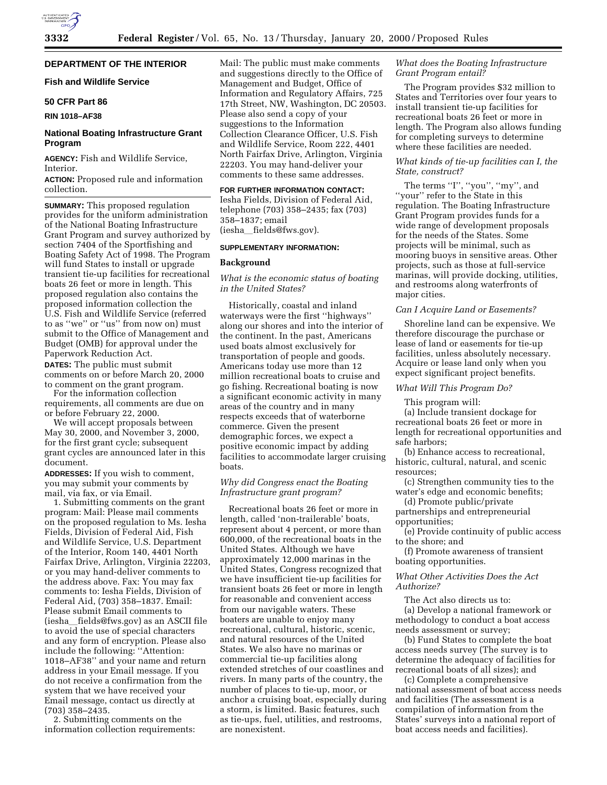# **DEPARTMENT OF THE INTERIOR**

**Fish and Wildlife Service**

# **50 CFR Part 86**

## **RIN 1018–AF38**

## **National Boating Infrastructure Grant Program**

**AGENCY:** Fish and Wildlife Service, Interior.

**ACTION:** Proposed rule and information collection.

**SUMMARY:** This proposed regulation provides for the uniform administration of the National Boating Infrastructure Grant Program and survey authorized by section 7404 of the Sportfishing and Boating Safety Act of 1998. The Program will fund States to install or upgrade transient tie-up facilities for recreational boats 26 feet or more in length. This proposed regulation also contains the proposed information collection the U.S. Fish and Wildlife Service (referred to as ''we'' or ''us'' from now on) must submit to the Office of Management and Budget (OMB) for approval under the Paperwork Reduction Act.

**DATES:** The public must submit comments on or before March 20, 2000 to comment on the grant program.

For the information collection requirements, all comments are due on or before February 22, 2000.

We will accept proposals between May 30, 2000, and November 3, 2000, for the first grant cycle; subsequent grant cycles are announced later in this document.

**ADDRESSES:** If you wish to comment, you may submit your comments by mail, via fax, or via Email.

1. Submitting comments on the grant program: Mail: Please mail comments on the proposed regulation to Ms. Iesha Fields, Division of Federal Aid, Fish and Wildlife Service, U.S. Department of the Interior, Room 140, 4401 North Fairfax Drive, Arlington, Virginia 22203, or you may hand-deliver comments to the address above. Fax: You may fax comments to: Iesha Fields, Division of Federal Aid, (703) 358–1837. Email: Please submit Email comments to (iesha\_fields@fws.gov) as an ASCII file to avoid the use of special characters and any form of encryption. Please also include the following: ''Attention: 1018–AF38'' and your name and return address in your Email message. If you do not receive a confirmation from the system that we have received your Email message, contact us directly at (703) 358–2435.

2. Submitting comments on the information collection requirements: Mail: The public must make comments and suggestions directly to the Office of Management and Budget, Office of Information and Regulatory Affairs, 725 17th Street, NW, Washington, DC 20503. Please also send a copy of your suggestions to the Information Collection Clearance Officer, U.S. Fish and Wildlife Service, Room 222, 4401 North Fairfax Drive, Arlington, Virginia 22203. You may hand-deliver your comments to these same addresses.

**FOR FURTHER INFORMATION CONTACT:**

Iesha Fields, Division of Federal Aid, telephone (703) 358–2435; fax (703) 358–1837; email  $(iesha_{\text{field}}@fws.gov).$ 

#### **SUPPLEMENTARY INFORMATION:**

#### **Background**

*What is the economic status of boating in the United States?*

Historically, coastal and inland waterways were the first ''highways'' along our shores and into the interior of the continent. In the past, Americans used boats almost exclusively for transportation of people and goods. Americans today use more than 12 million recreational boats to cruise and go fishing. Recreational boating is now a significant economic activity in many areas of the country and in many respects exceeds that of waterborne commerce. Given the present demographic forces, we expect a positive economic impact by adding facilities to accommodate larger cruising boats.

## *Why did Congress enact the Boating Infrastructure grant program?*

Recreational boats 26 feet or more in length, called 'non-trailerable' boats, represent about 4 percent, or more than 600,000, of the recreational boats in the United States. Although we have approximately 12,000 marinas in the United States, Congress recognized that we have insufficient tie-up facilities for transient boats 26 feet or more in length for reasonable and convenient access from our navigable waters. These boaters are unable to enjoy many recreational, cultural, historic, scenic, and natural resources of the United States. We also have no marinas or commercial tie-up facilities along extended stretches of our coastlines and rivers. In many parts of the country, the number of places to tie-up, moor, or anchor a cruising boat, especially during a storm, is limited. Basic features, such as tie-ups, fuel, utilities, and restrooms, are nonexistent.

## *What does the Boating Infrastructure Grant Program entail?*

The Program provides \$32 million to States and Territories over four years to install transient tie-up facilities for recreational boats 26 feet or more in length. The Program also allows funding for completing surveys to determine where these facilities are needed.

# *What kinds of tie-up facilities can I, the State, construct?*

The terms "I", "you", "my", and ''your'' refer to the State in this regulation. The Boating Infrastructure Grant Program provides funds for a wide range of development proposals for the needs of the States. Some projects will be minimal, such as mooring buoys in sensitive areas. Other projects, such as those at full-service marinas, will provide docking, utilities, and restrooms along waterfronts of major cities.

#### *Can I Acquire Land or Easements?*

Shoreline land can be expensive. We therefore discourage the purchase or lease of land or easements for tie-up facilities, unless absolutely necessary. Acquire or lease land only when you expect significant project benefits.

## *What Will This Program Do?*

This program will:

(a) Include transient dockage for recreational boats 26 feet or more in length for recreational opportunities and safe harbors;

(b) Enhance access to recreational, historic, cultural, natural, and scenic resources;

(c) Strengthen community ties to the water's edge and economic benefits;

(d) Promote public/private partnerships and entrepreneurial

opportunities;

(e) Provide continuity of public access to the shore; and

(f) Promote awareness of transient boating opportunities.

*What Other Activities Does the Act Authorize?*

The Act also directs us to: (a) Develop a national framework or methodology to conduct a boat access needs assessment or survey;

(b) Fund States to complete the boat access needs survey (The survey is to determine the adequacy of facilities for recreational boats of all sizes); and

(c) Complete a comprehensive national assessment of boat access needs and facilities (The assessment is a compilation of information from the States' surveys into a national report of boat access needs and facilities).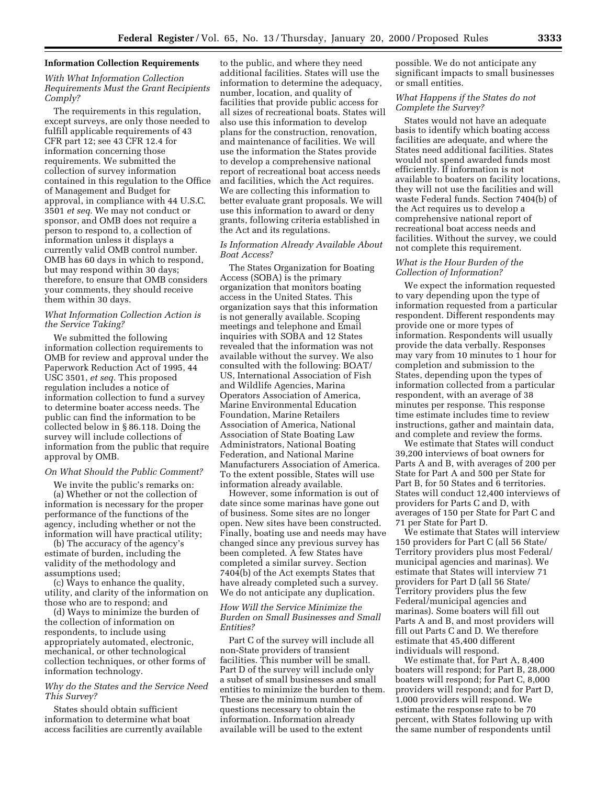# **Information Collection Requirements**

# *With What Information Collection Requirements Must the Grant Recipients Comply?*

The requirements in this regulation, except surveys, are only those needed to fulfill applicable requirements of 43 CFR part 12; see 43 CFR 12.4 for information concerning those requirements. We submitted the collection of survey information contained in this regulation to the Office of Management and Budget for approval, in compliance with 44 U.S.C. 3501 *et seq.* We may not conduct or sponsor, and OMB does not require a person to respond to, a collection of information unless it displays a currently valid OMB control number. OMB has 60 days in which to respond, but may respond within 30 days; therefore, to ensure that OMB considers your comments, they should receive them within 30 days.

# *What Information Collection Action is the Service Taking?*

We submitted the following information collection requirements to OMB for review and approval under the Paperwork Reduction Act of 1995, 44 USC 3501, *et seq.* This proposed regulation includes a notice of information collection to fund a survey to determine boater access needs. The public can find the information to be collected below in § 86.118. Doing the survey will include collections of information from the public that require approval by OMB.

# *On What Should the Public Comment?*

We invite the public's remarks on: (a) Whether or not the collection of information is necessary for the proper performance of the functions of the agency, including whether or not the information will have practical utility;

(b) The accuracy of the agency's estimate of burden, including the validity of the methodology and assumptions used;

(c) Ways to enhance the quality, utility, and clarity of the information on those who are to respond; and

(d) Ways to minimize the burden of the collection of information on respondents, to include using appropriately automated, electronic, mechanical, or other technological collection techniques, or other forms of information technology.

## *Why do the States and the Service Need This Survey?*

States should obtain sufficient information to determine what boat access facilities are currently available

to the public, and where they need additional facilities. States will use the information to determine the adequacy, number, location, and quality of facilities that provide public access for all sizes of recreational boats. States will also use this information to develop plans for the construction, renovation, and maintenance of facilities. We will use the information the States provide to develop a comprehensive national report of recreational boat access needs and facilities, which the Act requires. We are collecting this information to better evaluate grant proposals. We will use this information to award or deny grants, following criteria established in the Act and its regulations.

## *Is Information Already Available About Boat Access?*

The States Organization for Boating Access (SOBA) is the primary organization that monitors boating access in the United States. This organization says that this information is not generally available. Scoping meetings and telephone and Email inquiries with SOBA and 12 States revealed that the information was not available without the survey. We also consulted with the following: BOAT/ US, International Association of Fish and Wildlife Agencies, Marina Operators Association of America, Marine Environmental Education Foundation, Marine Retailers Association of America, National Association of State Boating Law Administrators, National Boating Federation, and National Marine Manufacturers Association of America. To the extent possible, States will use information already available.

However, some information is out of date since some marinas have gone out of business. Some sites are no longer open. New sites have been constructed. Finally, boating use and needs may have changed since any previous survey has been completed. A few States have completed a similar survey. Section 7404(b) of the Act exempts States that have already completed such a survey. We do not anticipate any duplication.

## *How Will the Service Minimize the Burden on Small Businesses and Small Entities?*

Part C of the survey will include all non-State providers of transient facilities. This number will be small. Part D of the survey will include only a subset of small businesses and small entities to minimize the burden to them. These are the minimum number of questions necessary to obtain the information. Information already available will be used to the extent

possible. We do not anticipate any significant impacts to small businesses or small entities.

# *What Happens if the States do not Complete the Survey?*

States would not have an adequate basis to identify which boating access facilities are adequate, and where the States need additional facilities. States would not spend awarded funds most efficiently. If information is not available to boaters on facility locations, they will not use the facilities and will waste Federal funds. Section 7404(b) of the Act requires us to develop a comprehensive national report of recreational boat access needs and facilities. Without the survey, we could not complete this requirement.

## *What is the Hour Burden of the Collection of Information?*

We expect the information requested to vary depending upon the type of information requested from a particular respondent. Different respondents may provide one or more types of information. Respondents will usually provide the data verbally. Responses may vary from 10 minutes to 1 hour for completion and submission to the States, depending upon the types of information collected from a particular respondent, with an average of 38 minutes per response. This response time estimate includes time to review instructions, gather and maintain data, and complete and review the forms.

We estimate that States will conduct 39,200 interviews of boat owners for Parts A and B, with averages of 200 per State for Part A and 500 per State for Part B, for 50 States and 6 territories. States will conduct 12,400 interviews of providers for Parts C and D, with averages of 150 per State for Part C and 71 per State for Part D.

We estimate that States will interview 150 providers for Part C (all 56 State/ Territory providers plus most Federal/ municipal agencies and marinas). We estimate that States will interview 71 providers for Part D (all 56 State/ Territory providers plus the few Federal/municipal agencies and marinas). Some boaters will fill out Parts A and B, and most providers will fill out Parts C and D. We therefore estimate that 45,400 different individuals will respond.

We estimate that, for Part A, 8,400 boaters will respond; for Part B, 28,000 boaters will respond; for Part C, 8,000 providers will respond; and for Part D, 1,000 providers will respond. We estimate the response rate to be 70 percent, with States following up with the same number of respondents until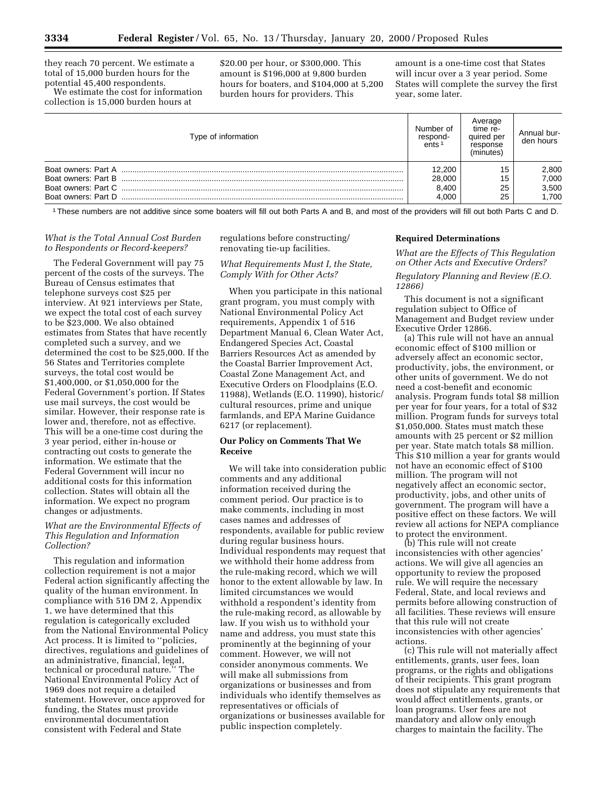they reach 70 percent. We estimate a total of 15,000 burden hours for the potential 45,400 respondents.

We estimate the cost for information collection is 15,000 burden hours at

\$20.00 per hour, or \$300,000. This amount is \$196,000 at 9,800 burden hours for boaters, and \$104,000 at 5,200 burden hours for providers. This

amount is a one-time cost that States will incur over a 3 year period. Some States will complete the survey the first year, some later.

| Type of information | Number of<br>respond-<br>ents i | Average<br>time re-<br>quired per<br>response<br>(minutes) | Annual bur-<br>den hours |
|---------------------|---------------------------------|------------------------------------------------------------|--------------------------|
|                     | 12.200                          | 15                                                         | 2,800                    |
|                     | 28,000                          | 15                                                         | 7,000                    |
|                     | 8,400                           | 25                                                         | 3,500                    |
|                     | 4.000                           | 25                                                         | 1.700                    |

1These numbers are not additive since some boaters will fill out both Parts A and B, and most of the providers will fill out both Parts C and D.

# *What is the Total Annual Cost Burden to Respondents or Record-keepers?*

The Federal Government will pay 75 percent of the costs of the surveys. The Bureau of Census estimates that telephone surveys cost \$25 per interview. At 921 interviews per State, we expect the total cost of each survey to be \$23,000. We also obtained estimates from States that have recently completed such a survey, and we determined the cost to be \$25,000. If the 56 States and Territories complete surveys, the total cost would be \$1,400,000, or \$1,050,000 for the Federal Government's portion. If States use mail surveys, the cost would be similar. However, their response rate is lower and, therefore, not as effective. This will be a one-time cost during the 3 year period, either in-house or contracting out costs to generate the information. We estimate that the Federal Government will incur no additional costs for this information collection. States will obtain all the information. We expect no program changes or adjustments.

## *What are the Environmental Effects of This Regulation and Information Collection?*

This regulation and information collection requirement is not a major Federal action significantly affecting the quality of the human environment. In compliance with 516 DM 2, Appendix 1, we have determined that this regulation is categorically excluded from the National Environmental Policy Act process. It is limited to ''policies, directives, regulations and guidelines of an administrative, financial, legal, technical or procedural nature.'' The National Environmental Policy Act of 1969 does not require a detailed statement. However, once approved for funding, the States must provide environmental documentation consistent with Federal and State

regulations before constructing/ renovating tie-up facilities.

# *What Requirements Must I, the State, Comply With for Other Acts?*

When you participate in this national grant program, you must comply with National Environmental Policy Act requirements, Appendix 1 of 516 Department Manual 6, Clean Water Act, Endangered Species Act, Coastal Barriers Resources Act as amended by the Coastal Barrier Improvement Act, Coastal Zone Management Act, and Executive Orders on Floodplains (E.O. 11988), Wetlands (E.O. 11990), historic/ cultural resources, prime and unique farmlands, and EPA Marine Guidance 6217 (or replacement).

# **Our Policy on Comments That We Receive**

We will take into consideration public comments and any additional information received during the comment period. Our practice is to make comments, including in most cases names and addresses of respondents, available for public review during regular business hours. Individual respondents may request that we withhold their home address from the rule-making record, which we will honor to the extent allowable by law. In limited circumstances we would withhold a respondent's identity from the rule-making record, as allowable by law. If you wish us to withhold your name and address, you must state this prominently at the beginning of your comment. However, we will not consider anonymous comments. We will make all submissions from organizations or businesses and from individuals who identify themselves as representatives or officials of organizations or businesses available for public inspection completely.

## **Required Determinations**

*What are the Effects of This Regulation on Other Acts and Executive Orders?*

*Regulatory Planning and Review (E.O. 12866)*

This document is not a significant regulation subject to Office of Management and Budget review under Executive Order 12866.

(a) This rule will not have an annual economic effect of \$100 million or adversely affect an economic sector, productivity, jobs, the environment, or other units of government. We do not need a cost-benefit and economic analysis. Program funds total \$8 million per year for four years, for a total of \$32 million. Program funds for surveys total \$1,050,000. States must match these amounts with 25 percent or \$2 million per year. State match totals \$8 million. This \$10 million a year for grants would not have an economic effect of \$100 million. The program will not negatively affect an economic sector, productivity, jobs, and other units of government. The program will have a positive effect on these factors. We will review all actions for NEPA compliance to protect the environment.

(b) This rule will not create inconsistencies with other agencies' actions. We will give all agencies an opportunity to review the proposed rule. We will require the necessary Federal, State, and local reviews and permits before allowing construction of all facilities. These reviews will ensure that this rule will not create inconsistencies with other agencies' actions.

(c) This rule will not materially affect entitlements, grants, user fees, loan programs, or the rights and obligations of their recipients. This grant program does not stipulate any requirements that would affect entitlements, grants, or loan programs. User fees are not mandatory and allow only enough charges to maintain the facility. The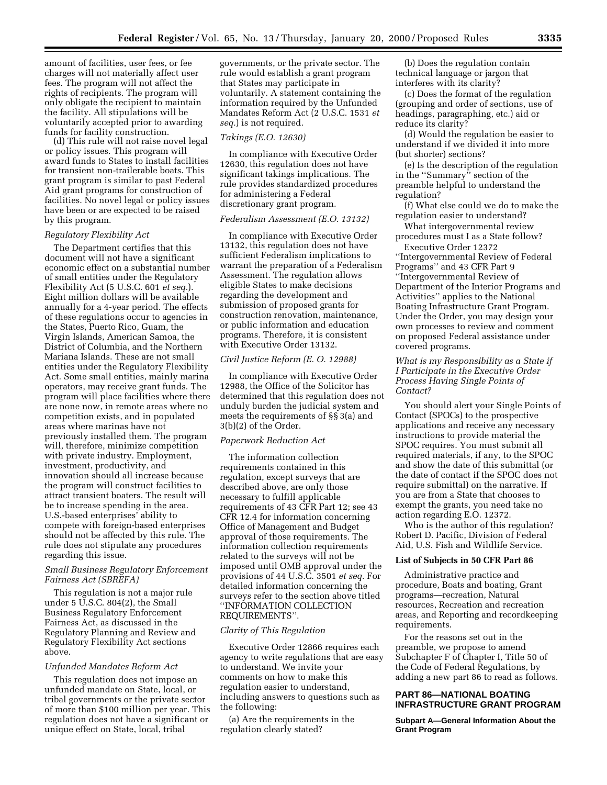amount of facilities, user fees, or fee charges will not materially affect user fees. The program will not affect the rights of recipients. The program will only obligate the recipient to maintain the facility. All stipulations will be voluntarily accepted prior to awarding funds for facility construction.

(d) This rule will not raise novel legal or policy issues. This program will award funds to States to install facilities for transient non-trailerable boats. This grant program is similar to past Federal Aid grant programs for construction of facilities. No novel legal or policy issues have been or are expected to be raised by this program.

## *Regulatory Flexibility Act*

The Department certifies that this document will not have a significant economic effect on a substantial number of small entities under the Regulatory Flexibility Act (5 U.S.C. 601 *et seq.*). Eight million dollars will be available annually for a 4-year period. The effects of these regulations occur to agencies in the States, Puerto Rico, Guam, the Virgin Islands, American Samoa, the District of Columbia, and the Northern Mariana Islands. These are not small entities under the Regulatory Flexibility Act. Some small entities, mainly marina operators, may receive grant funds. The program will place facilities where there are none now, in remote areas where no competition exists, and in populated areas where marinas have not previously installed them. The program will, therefore, minimize competition with private industry. Employment, investment, productivity, and innovation should all increase because the program will construct facilities to attract transient boaters. The result will be to increase spending in the area. U.S.-based enterprises' ability to compete with foreign-based enterprises should not be affected by this rule. The rule does not stipulate any procedures regarding this issue.

## *Small Business Regulatory Enforcement Fairness Act (SBREFA)*

This regulation is not a major rule under 5 U.S.C. 804(2), the Small Business Regulatory Enforcement Fairness Act, as discussed in the Regulatory Planning and Review and Regulatory Flexibility Act sections above.

## *Unfunded Mandates Reform Act*

This regulation does not impose an unfunded mandate on State, local, or tribal governments or the private sector of more than \$100 million per year. This regulation does not have a significant or unique effect on State, local, tribal

governments, or the private sector. The rule would establish a grant program that States may participate in voluntarily. A statement containing the information required by the Unfunded Mandates Reform Act (2 U.S.C. 1531 *et seq.*) is not required.

#### *Takings (E.O. 12630)*

In compliance with Executive Order 12630, this regulation does not have significant takings implications. The rule provides standardized procedures for administering a Federal discretionary grant program.

#### *Federalism Assessment (E.O. 13132)*

In compliance with Executive Order 13132, this regulation does not have sufficient Federalism implications to warrant the preparation of a Federalism Assessment. The regulation allows eligible States to make decisions regarding the development and submission of proposed grants for construction renovation, maintenance, or public information and education programs. Therefore, it is consistent with Executive Order 13132.

## *Civil Justice Reform (E. O. 12988)*

In compliance with Executive Order 12988, the Office of the Solicitor has determined that this regulation does not unduly burden the judicial system and meets the requirements of §§ 3(a) and 3(b)(2) of the Order.

### *Paperwork Reduction Act*

The information collection requirements contained in this regulation, except surveys that are described above, are only those necessary to fulfill applicable requirements of 43 CFR Part 12; see 43 CFR 12.4 for information concerning Office of Management and Budget approval of those requirements. The information collection requirements related to the surveys will not be imposed until OMB approval under the provisions of 44 U.S.C. 3501 *et seq.* For detailed information concerning the surveys refer to the section above titled ''INFORMATION COLLECTION REQUIREMENTS''.

## *Clarity of This Regulation*

Executive Order 12866 requires each agency to write regulations that are easy to understand. We invite your comments on how to make this regulation easier to understand, including answers to questions such as the following:

(a) Are the requirements in the regulation clearly stated?

(b) Does the regulation contain technical language or jargon that interferes with its clarity?

(c) Does the format of the regulation (grouping and order of sections, use of headings, paragraphing, etc.) aid or reduce its clarity?

(d) Would the regulation be easier to understand if we divided it into more (but shorter) sections?

(e) Is the description of the regulation in the ''Summary'' section of the preamble helpful to understand the regulation?

(f) What else could we do to make the regulation easier to understand?

What intergovernmental review procedures must I as a State follow?

Executive Order 12372 ''Intergovernmental Review of Federal Programs'' and 43 CFR Part 9 ''Intergovernmental Review of Department of the Interior Programs and Activities'' applies to the National Boating Infrastructure Grant Program. Under the Order, you may design your own processes to review and comment on proposed Federal assistance under covered programs.

## *What is my Responsibility as a State if I Participate in the Executive Order Process Having Single Points of Contact?*

You should alert your Single Points of Contact (SPOCs) to the prospective applications and receive any necessary instructions to provide material the SPOC requires. You must submit all required materials, if any, to the SPOC and show the date of this submittal (or the date of contact if the SPOC does not require submittal) on the narrative. If you are from a State that chooses to exempt the grants, you need take no action regarding E.O. 12372.

Who is the author of this regulation? Robert D. Pacific, Division of Federal Aid, U.S. Fish and Wildlife Service.

# **List of Subjects in 50 CFR Part 86**

Administrative practice and procedure, Boats and boating, Grant programs—recreation, Natural resources, Recreation and recreation areas, and Reporting and recordkeeping requirements.

For the reasons set out in the preamble, we propose to amend Subchapter F of Chapter I, Title 50 of the Code of Federal Regulations, by adding a new part 86 to read as follows.

## **PART 86—NATIONAL BOATING INFRASTRUCTURE GRANT PROGRAM**

**Subpart A—General Information About the Grant Program**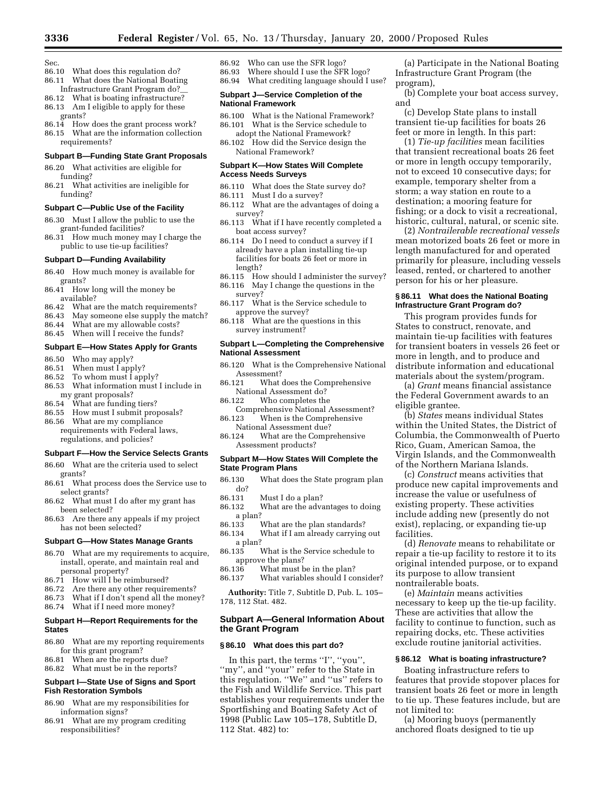- Sec.
- 86.10 What does this regulation do?
- 86.11 What does the National Boating Infrastructure Grant Program do?\_\_
- 86.12 What is boating infrastructure?
- 86.13 Am I eligible to apply for these
- grants?
- 86.14 How does the grant process work? 86.15 What are the information collection requirements?

#### **Subpart B—Funding State Grant Proposals**

- 86.20 What activities are eligible for funding?
- 86.21 What activities are ineligible for funding?

#### **Subpart C—Public Use of the Facility**

- 86.30 Must I allow the public to use the grant-funded facilities?
- 86.31 How much money may I charge the public to use tie-up facilities?

## **Subpart D—Funding Availability**

- 86.40 How much money is available for grants?
- 86.41 How long will the money be available?
- 86.42 What are the match requirements?
- 
- 86.43 May someone else supply the match?<br>86.44 What are my allowable costs? What are my allowable costs?
- 86.45 When will I receive the funds?

#### **Subpart E—How States Apply for Grants**

- 86.50 Who may apply?
- 86.51 When must I apply?
- 86.52 To whom must I apply?
- 86.53 What information must I include in my grant proposals?
- 86.54 What are funding tiers?
- 86.55 How must I submit proposals?
- 86.56 What are my compliance requirements with Federal laws, regulations, and policies?

# **Subpart F—How the Service Selects Grants**

- 86.60 What are the criteria used to select grants?
- 86.61 What process does the Service use to select grants?
- 86.62 What must I do after my grant has been selected?
- 86.63 Are there any appeals if my project has not been selected?

### **Subpart G—How States Manage Grants**

- 86.70 What are my requirements to acquire, install, operate, and maintain real and personal property?
- 86.71 How will I be reimbursed?
- 86.72 Are there any other requirements?
- 86.73 What if I don't spend all the money?

## 86.74 What if I need more money?

#### **Subpart H—Report Requirements for the States**

- 86.80 What are my reporting requirements for this grant program?
- 86.81 When are the reports due?
- 86.82 What must be in the reports?

### **Subpart I—State Use of Signs and Sport Fish Restoration Symbols**

- 86.90 What are my responsibilities for information signs?
- 86.91 What are my program crediting responsibilities?
- 86.92 Who can use the SFR logo?
- 86.93 Where should I use the SFR logo?
- 86.94 What crediting language should I use?

#### **Subpart J—Service Completion of the National Framework**

- 86.100 What is the National Framework?
- 86.101 What is the Service schedule to adopt the National Framework?
- 86.102 How did the Service design the National Framework?

#### **Subpart K—How States Will Complete Access Needs Surveys**

- 86.110 What does the State survey do?
- 86.111 Must I do a survey?
- 86.112 What are the advantages of doing a survey?
- 86.113 What if I have recently completed a boat access survey?
- 86.114 Do I need to conduct a survey if I already have a plan installing tie-up facilities for boats 26 feet or more in length?
- 86.115 How should I administer the survey?
- 86.116 May I change the questions in the survey?
- 86.117 What is the Service schedule to approve the survey?
- 86.118 What are the questions in this survey instrument?

#### **Subpart L—Completing the Comprehensive National Assessment**

- 86.120 What is the Comprehensive National Assessment?<br>86.121 What
- What does the Comprehensive National Assessment do?<br>86.122 Who completes the
- Who completes the
- Comprehensive National Assessment?<br>86.123 When is the Comprehensive When is the Comprehensive
- National Assessment due?<br>86.124 What are the Compi What are the Comprehensive
- Assessment products?

#### **Subpart M—How States Will Complete the State Program Plans**

- 86.130 What does the State program plan do?<br>86.131
- Must I do a plan?
- 86.132 What are the advantages to doing a plan?
- 86.133 What are the plan standards?<br>86.134 What if I am already carrying
- What if I am already carrying out a plan?
- 86.135 What is the Service schedule to approve the plans?
- 86.136 What must be in the plan?
- 86.137 What variables should I consider?

**Authority:** Title 7, Subtitle D, Pub. L. 105– 178, 112 Stat. 482.

#### **Subpart A—General Information About the Grant Program**

#### **§ 86.10 What does this part do?**

In this part, the terms ''I'', ''you'', ''my'', and ''your'' refer to the State in this regulation. ''We'' and ''us'' refers to the Fish and Wildlife Service. This part establishes your requirements under the Sportfishing and Boating Safety Act of 1998 (Public Law 105–178, Subtitle D, 112 Stat. 482) to:

(a) Participate in the National Boating Infrastructure Grant Program (the program),

(b) Complete your boat access survey, and

(c) Develop State plans to install transient tie-up facilities for boats 26 feet or more in length. In this part:

(1) *Tie-up facilities* mean facilities that transient recreational boats 26 feet or more in length occupy temporarily, not to exceed 10 consecutive days; for example, temporary shelter from a storm; a way station en route to a destination; a mooring feature for fishing; or a dock to visit a recreational, historic, cultural, natural, or scenic site.

(2) *Nontrailerable recreational vessels* mean motorized boats 26 feet or more in length manufactured for and operated primarily for pleasure, including vessels leased, rented, or chartered to another person for his or her pleasure.

### **§ 86.11 What does the National Boating Infrastructure Grant Program do?**

This program provides funds for States to construct, renovate, and maintain tie-up facilities with features for transient boaters in vessels 26 feet or more in length, and to produce and distribute information and educational materials about the system/program.

(a) *Grant* means financial assistance the Federal Government awards to an eligible grantee.

(b) *States* means individual States within the United States, the District of Columbia, the Commonwealth of Puerto Rico, Guam, American Samoa, the Virgin Islands, and the Commonwealth of the Northern Mariana Islands.

(c) *Construct* means activities that produce new capital improvements and increase the value or usefulness of existing property. These activities include adding new (presently do not exist), replacing, or expanding tie-up facilities.

(d) *Renovate* means to rehabilitate or repair a tie-up facility to restore it to its original intended purpose, or to expand its purpose to allow transient nontrailerable boats.

(e) *Maintain* means activities necessary to keep up the tie-up facility. These are activities that allow the facility to continue to function, such as repairing docks, etc. These activities exclude routine janitorial activities.

## **§ 86.12 What is boating infrastructure?**

Boating infrastructure refers to features that provide stopover places for transient boats 26 feet or more in length to tie up. These features include, but are not limited to:

(a) Mooring buoys (permanently anchored floats designed to tie up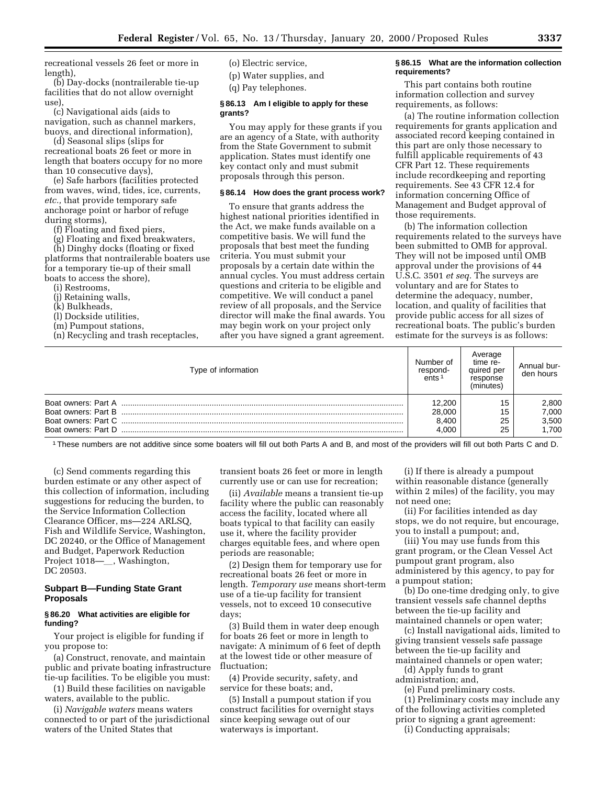recreational vessels 26 feet or more in length),

(b) Day-docks (nontrailerable tie-up facilities that do not allow overnight use),

(c) Navigational aids (aids to navigation, such as channel markers, buoys, and directional information),

(d) Seasonal slips (slips for recreational boats 26 feet or more in length that boaters occupy for no more than 10 consecutive days),

(e) Safe harbors (facilities protected from waves, wind, tides, ice, currents, *etc.,* that provide temporary safe anchorage point or harbor of refuge during storms),

(f) Floating and fixed piers,

(g) Floating and fixed breakwaters, (h) Dinghy docks (floating or fixed

platforms that nontrailerable boaters use for a temporary tie-up of their small boats to access the shore),

(i) Restrooms,

(j) Retaining walls,

(k) Bulkheads,

(l) Dockside utilities,

(m) Pumpout stations,

(n) Recycling and trash receptacles,

(o) Electric service,

(p) Water supplies, and

(q) Pay telephones.

## **§ 86.13 Am I eligible to apply for these grants?**

You may apply for these grants if you are an agency of a State, with authority from the State Government to submit application. States must identify one key contact only and must submit proposals through this person.

#### **§ 86.14 How does the grant process work?**

To ensure that grants address the highest national priorities identified in the Act, we make funds available on a competitive basis. We will fund the proposals that best meet the funding criteria. You must submit your proposals by a certain date within the annual cycles. You must address certain questions and criteria to be eligible and competitive. We will conduct a panel review of all proposals, and the Service director will make the final awards. You may begin work on your project only after you have signed a grant agreement.

### **§ 86.15 What are the information collection requirements?**

This part contains both routine information collection and survey requirements, as follows:

(a) The routine information collection requirements for grants application and associated record keeping contained in this part are only those necessary to fulfill applicable requirements of 43 CFR Part 12. These requirements include recordkeeping and reporting requirements. See 43 CFR 12.4 for information concerning Office of Management and Budget approval of those requirements.

(b) The information collection requirements related to the surveys have been submitted to OMB for approval. They will not be imposed until OMB approval under the provisions of 44 U.S.C. 3501 *et seq.* The surveys are voluntary and are for States to determine the adequacy, number, location, and quality of facilities that provide public access for all sizes of recreational boats. The public's burden estimate for the surveys is as follows:

| Type of information | Number of<br>respond-<br>ents i | Average<br>time re-<br>quired per<br>response<br>(minutes) | Annual bur-<br>den hours |
|---------------------|---------------------------------|------------------------------------------------------------|--------------------------|
|                     | 12,200                          | 15                                                         | 2,800                    |
|                     | 28,000                          | 15                                                         | 7,000                    |
|                     | 8,400                           | 25                                                         | 3,500                    |
|                     | 4,000                           | 25                                                         | 1.700                    |

1These numbers are not additive since some boaters will fill out both Parts A and B, and most of the providers will fill out both Parts C and D.

(c) Send comments regarding this burden estimate or any other aspect of this collection of information, including suggestions for reducing the burden, to the Service Information Collection Clearance Officer, ms—224 ARLSQ, Fish and Wildlife Service, Washington, DC 20240, or the Office of Management and Budget, Paperwork Reduction Project 1018-, Washington, DC 20503.

# **Subpart B—Funding State Grant Proposals**

## **§ 86.20 What activities are eligible for funding?**

Your project is eligible for funding if you propose to:

(a) Construct, renovate, and maintain public and private boating infrastructure tie-up facilities. To be eligible you must:

(1) Build these facilities on navigable waters, available to the public.

(i) *Navigable waters* means waters connected to or part of the jurisdictional waters of the United States that

transient boats 26 feet or more in length currently use or can use for recreation;

(ii) *Available* means a transient tie-up facility where the public can reasonably access the facility, located where all boats typical to that facility can easily use it, where the facility provider charges equitable fees, and where open periods are reasonable;

(2) Design them for temporary use for recreational boats 26 feet or more in length. *Temporary use* means short-term use of a tie-up facility for transient vessels, not to exceed 10 consecutive days;

(3) Build them in water deep enough for boats 26 feet or more in length to navigate: A minimum of 6 feet of depth at the lowest tide or other measure of fluctuation;

(4) Provide security, safety, and service for these boats; and,

(5) Install a pumpout station if you construct facilities for overnight stays since keeping sewage out of our waterways is important.

(i) If there is already a pumpout within reasonable distance (generally within 2 miles) of the facility, you may not need one;

(ii) For facilities intended as day stops, we do not require, but encourage, you to install a pumpout; and,

(iii) You may use funds from this grant program, or the Clean Vessel Act pumpout grant program, also administered by this agency, to pay for a pumpout station;

(b) Do one-time dredging only, to give transient vessels safe channel depths between the tie-up facility and maintained channels or open water;

(c) Install navigational aids, limited to giving transient vessels safe passage between the tie-up facility and maintained channels or open water;

(d) Apply funds to grant administration; and,

(e) Fund preliminary costs.

(1) Preliminary costs may include any of the following activities completed prior to signing a grant agreement:

(i) Conducting appraisals;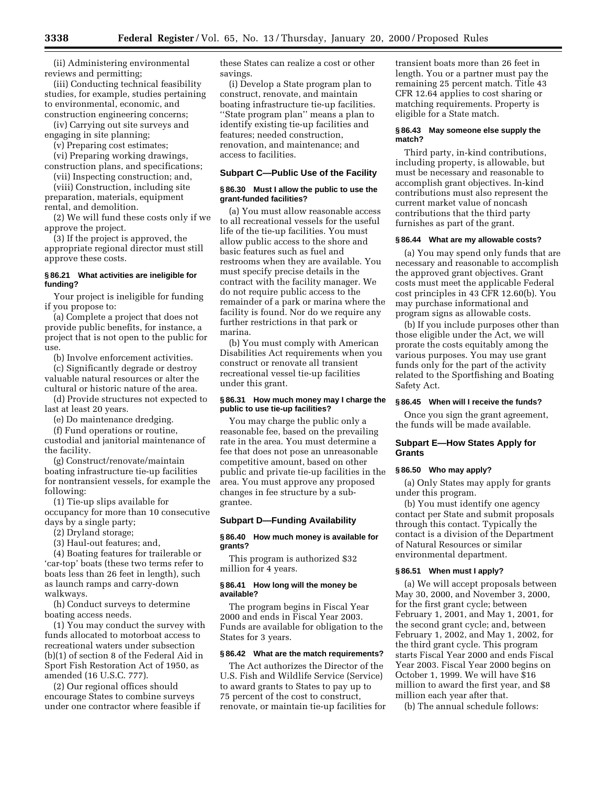(ii) Administering environmental reviews and permitting;

(iii) Conducting technical feasibility studies, for example, studies pertaining to environmental, economic, and construction engineering concerns;

(iv) Carrying out site surveys and engaging in site planning;

(v) Preparing cost estimates;

(vi) Preparing working drawings,

construction plans, and specifications; (vii) Inspecting construction; and,

(viii) Construction, including site preparation, materials, equipment rental, and demolition.

(2) We will fund these costs only if we approve the project.

(3) If the project is approved, the appropriate regional director must still approve these costs.

## **§ 86.21 What activities are ineligible for funding?**

Your project is ineligible for funding if you propose to:

(a) Complete a project that does not provide public benefits, for instance, a project that is not open to the public for use.

(b) Involve enforcement activities.

(c) Significantly degrade or destroy valuable natural resources or alter the cultural or historic nature of the area.

(d) Provide structures not expected to last at least 20 years.

(e) Do maintenance dredging.

(f) Fund operations or routine, custodial and janitorial maintenance of the facility.

(g) Construct/renovate/maintain boating infrastructure tie-up facilities for nontransient vessels, for example the following:

(1) Tie-up slips available for occupancy for more than 10 consecutive days by a single party;

(2) Dryland storage;

(3) Haul-out features; and,

(4) Boating features for trailerable or 'car-top' boats (these two terms refer to boats less than 26 feet in length), such as launch ramps and carry-down walkways.

(h) Conduct surveys to determine boating access needs.

(1) You may conduct the survey with funds allocated to motorboat access to recreational waters under subsection (b)(1) of section 8 of the Federal Aid in Sport Fish Restoration Act of 1950, as amended (16 U.S.C. 777).

(2) Our regional offices should encourage States to combine surveys under one contractor where feasible if these States can realize a cost or other savings.

(i) Develop a State program plan to construct, renovate, and maintain boating infrastructure tie-up facilities. ''State program plan'' means a plan to identify existing tie-up facilities and features; needed construction, renovation, and maintenance; and access to facilities.

# **Subpart C—Public Use of the Facility**

## **§ 86.30 Must I allow the public to use the grant-funded facilities?**

(a) You must allow reasonable access to all recreational vessels for the useful life of the tie-up facilities. You must allow public access to the shore and basic features such as fuel and restrooms when they are available. You must specify precise details in the contract with the facility manager. We do not require public access to the remainder of a park or marina where the facility is found. Nor do we require any further restrictions in that park or marina.

(b) You must comply with American Disabilities Act requirements when you construct or renovate all transient recreational vessel tie-up facilities under this grant.

### **§ 86.31 How much money may I charge the public to use tie-up facilities?**

You may charge the public only a reasonable fee, based on the prevailing rate in the area. You must determine a fee that does not pose an unreasonable competitive amount, based on other public and private tie-up facilities in the area. You must approve any proposed changes in fee structure by a subgrantee.

## **Subpart D—Funding Availability**

## **§ 86.40 How much money is available for grants?**

This program is authorized \$32 million for 4 years.

## **§ 86.41 How long will the money be available?**

The program begins in Fiscal Year 2000 and ends in Fiscal Year 2003. Funds are available for obligation to the States for 3 years.

# **§ 86.42 What are the match requirements?**

The Act authorizes the Director of the U.S. Fish and Wildlife Service (Service) to award grants to States to pay up to 75 percent of the cost to construct, renovate, or maintain tie-up facilities for

transient boats more than 26 feet in length. You or a partner must pay the remaining 25 percent match. Title 43 CFR 12.64 applies to cost sharing or matching requirements. Property is eligible for a State match.

### **§ 86.43 May someone else supply the match?**

Third party, in-kind contributions, including property, is allowable, but must be necessary and reasonable to accomplish grant objectives. In-kind contributions must also represent the current market value of noncash contributions that the third party furnishes as part of the grant.

#### **§ 86.44 What are my allowable costs?**

(a) You may spend only funds that are necessary and reasonable to accomplish the approved grant objectives. Grant costs must meet the applicable Federal cost principles in 43 CFR 12.60(b). You may purchase informational and program signs as allowable costs.

(b) If you include purposes other than those eligible under the Act, we will prorate the costs equitably among the various purposes. You may use grant funds only for the part of the activity related to the Sportfishing and Boating Safety Act.

#### **§ 86.45 When will I receive the funds?**

Once you sign the grant agreement, the funds will be made available.

## **Subpart E—How States Apply for Grants**

#### **§ 86.50 Who may apply?**

(a) Only States may apply for grants under this program.

(b) You must identify one agency contact per State and submit proposals through this contact. Typically the contact is a division of the Department of Natural Resources or similar environmental department.

# **§ 86.51 When must I apply?**

(a) We will accept proposals between May 30, 2000, and November 3, 2000, for the first grant cycle; between February 1, 2001, and May 1, 2001, for the second grant cycle; and, between February 1, 2002, and May 1, 2002, for the third grant cycle. This program starts Fiscal Year 2000 and ends Fiscal Year 2003. Fiscal Year 2000 begins on October 1, 1999. We will have \$16 million to award the first year, and \$8 million each year after that.

(b) The annual schedule follows: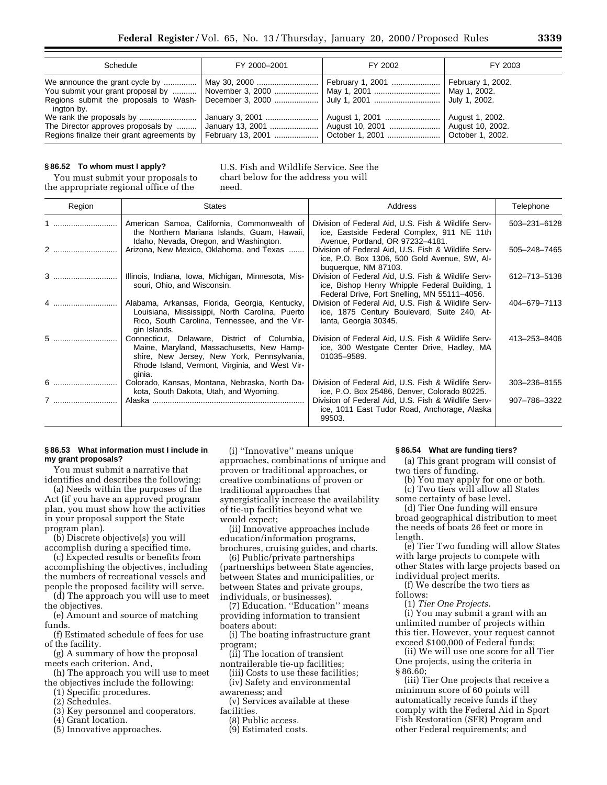| Schedule                                                                                                                                                                                      | FY 2000-2001 | FY 2002                                                                    | FY 2003 |
|-----------------------------------------------------------------------------------------------------------------------------------------------------------------------------------------------|--------------|----------------------------------------------------------------------------|---------|
| We announce the grant cycle by    May 30, 2000    February 1, 2001    February 1, 2002.<br>You submit your grant proposal by    November 3, 2000    May 1, 2001    May 1, 2002.<br>ington by. |              |                                                                            |         |
| The Director approves proposals by    January 13, 2001                                                                                                                                        |              | August 1, 2001    August 1, 2002.<br>  August 10, 2001    August 10, 2002. |         |

#### **§ 86.52 To whom must I apply?**

You must submit your proposals to the appropriate regional office of the

U.S. Fish and Wildlife Service. See the chart below for the address you will need.

| Region | <b>States</b>                                                                                                                                                                                       | Address                                                                                                                                              | Telephone    |
|--------|-----------------------------------------------------------------------------------------------------------------------------------------------------------------------------------------------------|------------------------------------------------------------------------------------------------------------------------------------------------------|--------------|
|        | American Samoa, California, Commonwealth of<br>the Northern Mariana Islands, Guam, Hawaii,<br>Idaho, Nevada, Oregon, and Washington.                                                                | Division of Federal Aid, U.S. Fish & Wildlife Serv-<br>ice, Eastside Federal Complex, 911 NE 11th<br>Avenue, Portland, OR 97232-4181.                | 503-231-6128 |
| 2      | Arizona, New Mexico, Oklahoma, and Texas                                                                                                                                                            | Division of Federal Aid, U.S. Fish & Wildlife Serv-<br>ice, P.O. Box 1306, 500 Gold Avenue, SW, Al-<br>buquerque, NM 87103.                          | 505-248-7465 |
|        | Illinois, Indiana, Iowa, Michigan, Minnesota, Mis-<br>souri, Ohio, and Wisconsin.                                                                                                                   | Division of Federal Aid, U.S. Fish & Wildlife Serv-<br>ice, Bishop Henry Whipple Federal Building, 1<br>Federal Drive, Fort Snelling, MN 55111-4056. | 612-713-5138 |
| 4      | Alabama, Arkansas, Florida, Georgia, Kentucky,<br>Louisiana, Mississippi, North Carolina, Puerto<br>Rico, South Carolina, Tennessee, and the Vir-<br>gin Islands.                                   | Division of Federal Aid, U.S. Fish & Wildlife Serv-<br>ice, 1875 Century Boulevard, Suite 240, At-<br>lanta, Georgia 30345.                          | 404-679-7113 |
|        | Connecticut, Delaware, District of Columbia,<br>Maine, Maryland, Massachusetts, New Hamp-<br>shire, New Jersey, New York, Pennsylvania,<br>Rhode Island, Vermont, Virginia, and West Vir-<br>ginia. | Division of Federal Aid, U.S. Fish & Wildlife Serv-<br>ice, 300 Westgate Center Drive, Hadley, MA<br>01035-9589.                                     | 413-253-8406 |
| 6      | Colorado, Kansas, Montana, Nebraska, North Da-<br>kota, South Dakota, Utah, and Wyoming.                                                                                                            | Division of Federal Aid, U.S. Fish & Wildlife Serv-<br>ice, P.O. Box 25486, Denver, Colorado 80225.                                                  | 303-236-8155 |
|        |                                                                                                                                                                                                     | Division of Federal Aid, U.S. Fish & Wildlife Serv-<br>ice, 1011 East Tudor Road, Anchorage, Alaska<br>99503.                                        | 907-786-3322 |

# **§ 86.53 What information must I include in my grant proposals?**

You must submit a narrative that identifies and describes the following:

(a) Needs within the purposes of the Act (if you have an approved program plan, you must show how the activities in your proposal support the State program plan).

(b) Discrete objective(s) you will accomplish during a specified time.

(c) Expected results or benefits from accomplishing the objectives, including the numbers of recreational vessels and people the proposed facility will serve.

(d) The approach you will use to meet the objectives.

(e) Amount and source of matching funds.

(f) Estimated schedule of fees for use of the facility.

(g) A summary of how the proposal meets each criterion. And,

(h) The approach you will use to meet the objectives include the following:

(1) Specific procedures.

(2) Schedules.

- (3) Key personnel and cooperators.
- (4) Grant location.
- (5) Innovative approaches.

(i) ''Innovative'' means unique approaches, combinations of unique and proven or traditional approaches, or creative combinations of proven or traditional approaches that synergistically increase the availability of tie-up facilities beyond what we would expect;

(ii) Innovative approaches include education/information programs, brochures, cruising guides, and charts.

(6) Public/private partnerships (partnerships between State agencies, between States and municipalities, or between States and private groups, individuals, or businesses).

(7) Education. ''Education'' means providing information to transient boaters about:

(i) The boating infrastructure grant program;

(ii) The location of transient

nontrailerable tie-up facilities; (iii) Costs to use these facilities;

(iv) Safety and environmental awareness; and

(v) Services available at these facilities.

(8) Public access.

(9) Estimated costs.

#### **§ 86.54 What are funding tiers?**

(a) This grant program will consist of two tiers of funding.

(b) You may apply for one or both. (c) Two tiers will allow all States some certainty of base level.

(d) Tier One funding will ensure broad geographical distribution to meet the needs of boats 26 feet or more in length.

(e) Tier Two funding will allow States with large projects to compete with other States with large projects based on individual project merits.

(f) We describe the two tiers as follows:

(1) *Tier One Projects.*

(i) You may submit a grant with an unlimited number of projects within this tier. However, your request cannot exceed \$100,000 of Federal funds;

(ii) We will use one score for all Tier One projects, using the criteria in § 86.60;

(iii) Tier One projects that receive a minimum score of 60 points will automatically receive funds if they comply with the Federal Aid in Sport Fish Restoration (SFR) Program and other Federal requirements; and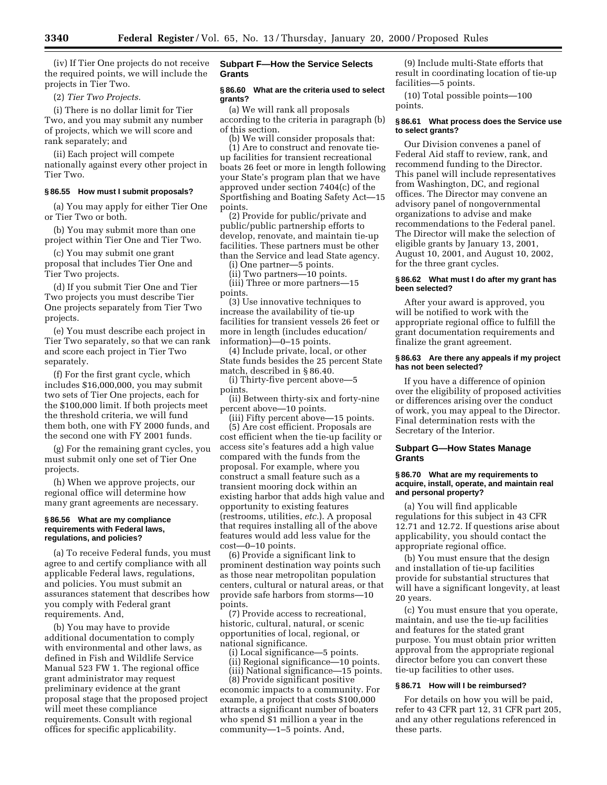(iv) If Tier One projects do not receive the required points, we will include the projects in Tier Two.

(2) *Tier Two Projects.*

(i) There is no dollar limit for Tier Two, and you may submit any number of projects, which we will score and rank separately; and

(ii) Each project will compete nationally against every other project in Tier Two.

## **§ 86.55 How must I submit proposals?**

(a) You may apply for either Tier One or Tier Two or both.

(b) You may submit more than one project within Tier One and Tier Two.

(c) You may submit one grant proposal that includes Tier One and Tier Two projects.

(d) If you submit Tier One and Tier Two projects you must describe Tier One projects separately from Tier Two projects.

(e) You must describe each project in Tier Two separately, so that we can rank and score each project in Tier Two separately.

(f) For the first grant cycle, which includes \$16,000,000, you may submit two sets of Tier One projects, each for the \$100,000 limit. If both projects meet the threshold criteria, we will fund them both, one with FY 2000 funds, and the second one with FY 2001 funds.

(g) For the remaining grant cycles, you must submit only one set of Tier One projects.

(h) When we approve projects, our regional office will determine how many grant agreements are necessary.

### **§ 86.56 What are my compliance requirements with Federal laws, regulations, and policies?**

(a) To receive Federal funds, you must agree to and certify compliance with all applicable Federal laws, regulations, and policies. You must submit an assurances statement that describes how you comply with Federal grant requirements. And,

(b) You may have to provide additional documentation to comply with environmental and other laws, as defined in Fish and Wildlife Service Manual 523 FW 1. The regional office grant administrator may request preliminary evidence at the grant proposal stage that the proposed project will meet these compliance requirements. Consult with regional offices for specific applicability.

# **Subpart F—How the Service Selects Grants**

## **§ 86.60 What are the criteria used to select grants?**

(a) We will rank all proposals according to the criteria in paragraph (b) of this section.

(b) We will consider proposals that:

(1) Are to construct and renovate tieup facilities for transient recreational boats 26 feet or more in length following your State's program plan that we have approved under section 7404(c) of the Sportfishing and Boating Safety Act—15 points.

(2) Provide for public/private and public/public partnership efforts to develop, renovate, and maintain tie-up facilities. These partners must be other than the Service and lead State agency.

(i) One partner—5 points. (ii) Two partners—10 points.

(iii) Three or more partners—15 points.

(3) Use innovative techniques to increase the availability of tie-up facilities for transient vessels 26 feet or more in length (includes education/ information)—0–15 points.

(4) Include private, local, or other State funds besides the 25 percent State match, described in § 86.40.

(i) Thirty-five percent above—5 points.

(ii) Between thirty-six and forty-nine percent above—10 points.

(iii) Fifty percent above—15 points. (5) Are cost efficient. Proposals are cost efficient when the tie-up facility or access site's features add a high value compared with the funds from the proposal. For example, where you construct a small feature such as a transient mooring dock within an existing harbor that adds high value and opportunity to existing features (restrooms, utilities, *etc.*). A proposal that requires installing all of the above features would add less value for the cost—0–10 points.

(6) Provide a significant link to prominent destination way points such as those near metropolitan population centers, cultural or natural areas, or that provide safe harbors from storms—10 points.

(7) Provide access to recreational, historic, cultural, natural, or scenic opportunities of local, regional, or national significance.

(i) Local significance—5 points.

(ii) Regional significance—10 points. (iii) National significance—15 points.

(8) Provide significant positive economic impacts to a community. For example, a project that costs \$100,000 attracts a significant number of boaters who spend \$1 million a year in the community—1–5 points. And,

(9) Include multi-State efforts that result in coordinating location of tie-up facilities—5 points.

(10) Total possible points—100 points.

#### **§ 86.61 What process does the Service use to select grants?**

Our Division convenes a panel of Federal Aid staff to review, rank, and recommend funding to the Director. This panel will include representatives from Washington, DC, and regional offices. The Director may convene an advisory panel of nongovernmental organizations to advise and make recommendations to the Federal panel. The Director will make the selection of eligible grants by January 13, 2001, August 10, 2001, and August 10, 2002, for the three grant cycles.

#### **§ 86.62 What must I do after my grant has been selected?**

After your award is approved, you will be notified to work with the appropriate regional office to fulfill the grant documentation requirements and finalize the grant agreement.

### **§ 86.63 Are there any appeals if my project has not been selected?**

If you have a difference of opinion over the eligibility of proposed activities or differences arising over the conduct of work, you may appeal to the Director. Final determination rests with the Secretary of the Interior.

## **Subpart G—How States Manage Grants**

## **§ 86.70 What are my requirements to acquire, install, operate, and maintain real and personal property?**

(a) You will find applicable regulations for this subject in 43 CFR 12.71 and 12.72. If questions arise about applicability, you should contact the appropriate regional office.

(b) You must ensure that the design and installation of tie-up facilities provide for substantial structures that will have a significant longevity, at least 20 years.

(c) You must ensure that you operate, maintain, and use the tie-up facilities and features for the stated grant purpose. You must obtain prior written approval from the appropriate regional director before you can convert these tie-up facilities to other uses.

# **§ 86.71 How will I be reimbursed?**

For details on how you will be paid, refer to 43 CFR part 12, 31 CFR part 205, and any other regulations referenced in these parts.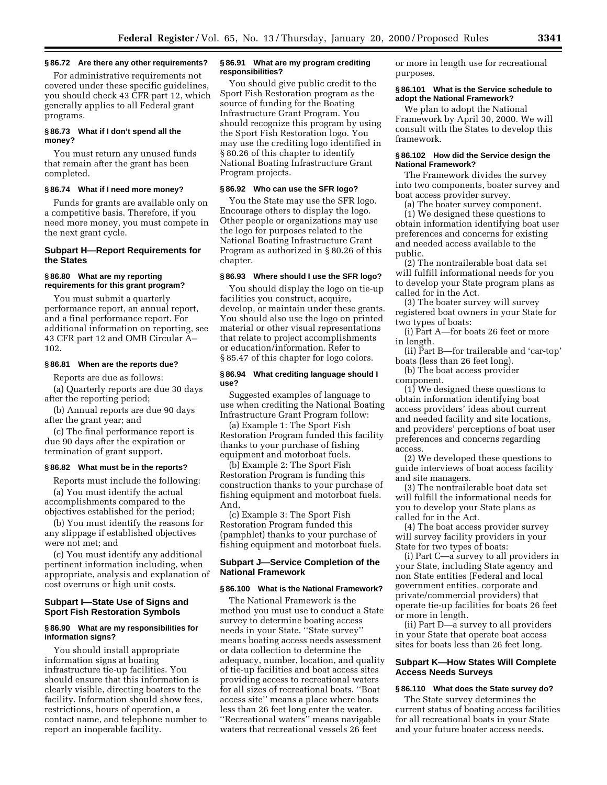## **§ 86.72 Are there any other requirements?**

For administrative requirements not covered under these specific guidelines, you should check 43 CFR part 12, which generally applies to all Federal grant programs.

### **§ 86.73 What if I don't spend all the money?**

You must return any unused funds that remain after the grant has been completed.

#### **§ 86.74 What if I need more money?**

Funds for grants are available only on a competitive basis. Therefore, if you need more money, you must compete in the next grant cycle.

## **Subpart H—Report Requirements for the States**

## **§ 86.80 What are my reporting requirements for this grant program?**

You must submit a quarterly performance report, an annual report, and a final performance report. For additional information on reporting, see 43 CFR part 12 and OMB Circular A– 102.

## **§ 86.81 When are the reports due?**

Reports are due as follows:

(a) Quarterly reports are due 30 days after the reporting period;

(b) Annual reports are due 90 days after the grant year; and

(c) The final performance report is due 90 days after the expiration or termination of grant support.

## **§ 86.82 What must be in the reports?**

Reports must include the following:

(a) You must identify the actual accomplishments compared to the objectives established for the period;

(b) You must identify the reasons for any slippage if established objectives were not met; and

(c) You must identify any additional pertinent information including, when appropriate, analysis and explanation of cost overruns or high unit costs.

## **Subpart I—State Use of Signs and Sport Fish Restoration Symbols**

## **§ 86.90 What are my responsibilities for information signs?**

You should install appropriate information signs at boating infrastructure tie-up facilities. You should ensure that this information is clearly visible, directing boaters to the facility. Information should show fees, restrictions, hours of operation, a contact name, and telephone number to report an inoperable facility.

#### **§ 86.91 What are my program crediting responsibilities?**

You should give public credit to the Sport Fish Restoration program as the source of funding for the Boating Infrastructure Grant Program. You should recognize this program by using the Sport Fish Restoration logo. You may use the crediting logo identified in § 80.26 of this chapter to identify National Boating Infrastructure Grant Program projects.

# **§ 86.92 Who can use the SFR logo?**

You the State may use the SFR logo. Encourage others to display the logo. Other people or organizations may use the logo for purposes related to the National Boating Infrastructure Grant Program as authorized in § 80.26 of this chapter.

## **§ 86.93 Where should I use the SFR logo?**

You should display the logo on tie-up facilities you construct, acquire, develop, or maintain under these grants. You should also use the logo on printed material or other visual representations that relate to project accomplishments or education/information. Refer to § 85.47 of this chapter for logo colors.

#### **§ 86.94 What crediting language should I use?**

Suggested examples of language to use when crediting the National Boating Infrastructure Grant Program follow:

(a) Example 1: The Sport Fish Restoration Program funded this facility thanks to your purchase of fishing equipment and motorboat fuels.

(b) Example 2: The Sport Fish Restoration Program is funding this construction thanks to your purchase of fishing equipment and motorboat fuels. And,

(c) Example 3: The Sport Fish Restoration Program funded this (pamphlet) thanks to your purchase of fishing equipment and motorboat fuels.

## **Subpart J—Service Completion of the National Framework**

## **§ 86.100 What is the National Framework?**

The National Framework is the method you must use to conduct a State survey to determine boating access needs in your State. ''State survey'' means boating access needs assessment or data collection to determine the adequacy, number, location, and quality of tie-up facilities and boat access sites providing access to recreational waters for all sizes of recreational boats. ''Boat access site'' means a place where boats less than 26 feet long enter the water. ''Recreational waters'' means navigable waters that recreational vessels 26 feet

or more in length use for recreational purposes.

## **§ 86.101 What is the Service schedule to adopt the National Framework?**

We plan to adopt the National Framework by April 30, 2000. We will consult with the States to develop this framework.

### **§ 86.102 How did the Service design the National Framework?**

The Framework divides the survey into two components, boater survey and boat access provider survey.

(a) The boater survey component.

(1) We designed these questions to obtain information identifying boat user preferences and concerns for existing and needed access available to the public.

(2) The nontrailerable boat data set will fulfill informational needs for you to develop your State program plans as called for in the Act.

(3) The boater survey will survey registered boat owners in your State for two types of boats:

(i) Part A—for boats 26 feet or more in length.

(ii) Part B—for trailerable and 'car-top' boats (less than 26 feet long).

(b) The boat access provider component.

(1) We designed these questions to obtain information identifying boat access providers' ideas about current and needed facility and site locations, and providers' perceptions of boat user preferences and concerns regarding access.

(2) We developed these questions to guide interviews of boat access facility and site managers.

(3) The nontrailerable boat data set will fulfill the informational needs for you to develop your State plans as called for in the Act.

(4) The boat access provider survey will survey facility providers in your State for two types of boats:

(i) Part C—a survey to all providers in your State, including State agency and non State entities (Federal and local government entities, corporate and private/commercial providers) that operate tie-up facilities for boats 26 feet or more in length.

(ii) Part D—a survey to all providers in your State that operate boat access sites for boats less than 26 feet long.

## **Subpart K—How States Will Complete Access Needs Surveys**

# **§ 86.110 What does the State survey do?**

The State survey determines the current status of boating access facilities for all recreational boats in your State and your future boater access needs.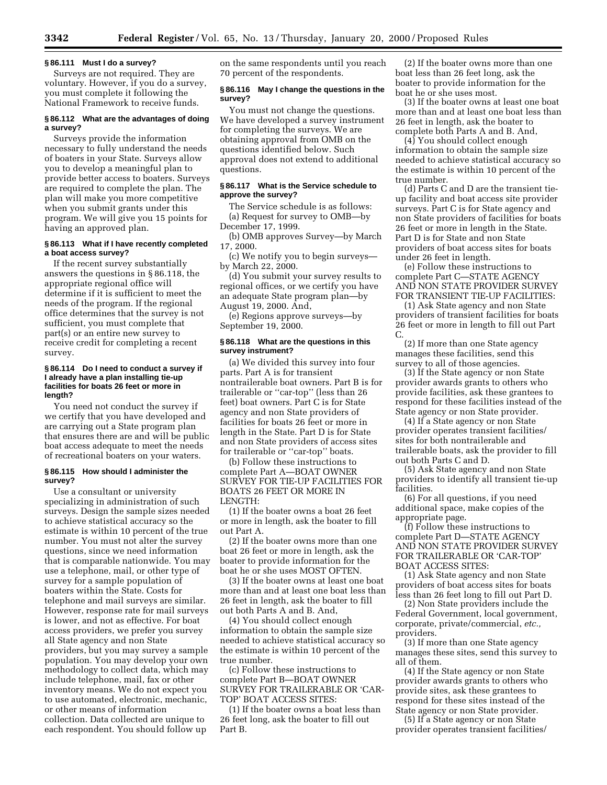## **§ 86.111 Must I do a survey?**

Surveys are not required. They are voluntary. However, if you do a survey, you must complete it following the National Framework to receive funds.

## **§ 86.112 What are the advantages of doing a survey?**

Surveys provide the information necessary to fully understand the needs of boaters in your State. Surveys allow you to develop a meaningful plan to provide better access to boaters. Surveys are required to complete the plan. The plan will make you more competitive when you submit grants under this program. We will give you 15 points for having an approved plan.

### **§ 86.113 What if I have recently completed a boat access survey?**

If the recent survey substantially answers the questions in § 86.118, the appropriate regional office will determine if it is sufficient to meet the needs of the program. If the regional office determines that the survey is not sufficient, you must complete that part(s) or an entire new survey to receive credit for completing a recent survey.

### **§ 86.114 Do I need to conduct a survey if I already have a plan installing tie-up facilities for boats 26 feet or more in length?**

You need not conduct the survey if we certify that you have developed and are carrying out a State program plan that ensures there are and will be public boat access adequate to meet the needs of recreational boaters on your waters.

#### **§ 86.115 How should I administer the survey?**

Use a consultant or university specializing in administration of such surveys. Design the sample sizes needed to achieve statistical accuracy so the estimate is within 10 percent of the true number. You must not alter the survey questions, since we need information that is comparable nationwide. You may use a telephone, mail, or other type of survey for a sample population of boaters within the State. Costs for telephone and mail surveys are similar. However, response rate for mail surveys is lower, and not as effective. For boat access providers, we prefer you survey all State agency and non State providers, but you may survey a sample population. You may develop your own methodology to collect data, which may include telephone, mail, fax or other inventory means. We do not expect you to use automated, electronic, mechanic, or other means of information collection. Data collected are unique to each respondent. You should follow up

on the same respondents until you reach 70 percent of the respondents.

## **§ 86.116 May I change the questions in the survey?**

You must not change the questions. We have developed a survey instrument for completing the surveys. We are obtaining approval from OMB on the questions identified below. Such approval does not extend to additional questions.

## **§ 86.117 What is the Service schedule to approve the survey?**

The Service schedule is as follows: (a) Request for survey to OMB—by December 17, 1999.

(b) OMB approves Survey—by March 17, 2000.

(c) We notify you to begin surveys by March 22, 2000.

(d) You submit your survey results to regional offices, or we certify you have an adequate State program plan—by August 19, 2000. And,

(e) Regions approve surveys—by September 19, 2000.

#### **§ 86.118 What are the questions in this survey instrument?**

(a) We divided this survey into four parts. Part A is for transient nontrailerable boat owners. Part B is for trailerable or ''car-top'' (less than 26 feet) boat owners. Part C is for State agency and non State providers of facilities for boats 26 feet or more in length in the State. Part D is for State and non State providers of access sites for trailerable or ''car-top'' boats.

(b) Follow these instructions to complete Part A—BOAT OWNER SURVEY FOR TIE-UP FACILITIES FOR BOATS 26 FEET OR MORE IN LENGTH:

(1) If the boater owns a boat 26 feet or more in length, ask the boater to fill out Part A.

(2) If the boater owns more than one boat 26 feet or more in length, ask the boater to provide information for the boat he or she uses MOST OFTEN.

(3) If the boater owns at least one boat more than and at least one boat less than 26 feet in length, ask the boater to fill out both Parts A and B. And,

(4) You should collect enough information to obtain the sample size needed to achieve statistical accuracy so the estimate is within 10 percent of the true number.

(c) Follow these instructions to complete Part B—BOAT OWNER SURVEY FOR TRAILERABLE OR 'CAR-TOP' BOAT ACCESS SITES:

(1) If the boater owns a boat less than 26 feet long, ask the boater to fill out Part B.

(2) If the boater owns more than one boat less than 26 feet long, ask the boater to provide information for the boat he or she uses most.

(3) If the boater owns at least one boat more than and at least one boat less than 26 feet in length, ask the boater to complete both Parts A and B. And,

(4) You should collect enough information to obtain the sample size needed to achieve statistical accuracy so the estimate is within 10 percent of the true number.

(d) Parts C and D are the transient tieup facility and boat access site provider surveys. Part C is for State agency and non State providers of facilities for boats 26 feet or more in length in the State. Part D is for State and non State providers of boat access sites for boats under 26 feet in length.

(e) Follow these instructions to complete Part C—STATE AGENCY AND NON STATE PROVIDER SURVEY FOR TRANSIENT TIE-UP FACILITIES:

(1) Ask State agency and non State providers of transient facilities for boats 26 feet or more in length to fill out Part C.

(2) If more than one State agency manages these facilities, send this survey to all of those agencies.

(3) If the State agency or non State provider awards grants to others who provide facilities, ask these grantees to respond for these facilities instead of the State agency or non State provider.

(4) If a State agency or non State provider operates transient facilities/ sites for both nontrailerable and trailerable boats, ask the provider to fill out both Parts C and D.

(5) Ask State agency and non State providers to identify all transient tie-up facilities.

(6) For all questions, if you need additional space, make copies of the appropriate page.

(f) Follow these instructions to complete Part D—STATE AGENCY AND NON STATE PROVIDER SURVEY FOR TRAILERABLE OR 'CAR-TOP' BOAT ACCESS SITES:

(1) Ask State agency and non State providers of boat access sites for boats less than 26 feet long to fill out Part D.

(2) Non State providers include the Federal Government, local government, corporate, private/commercial, *etc.,* providers.

(3) If more than one State agency manages these sites, send this survey to all of them.

(4) If the State agency or non State provider awards grants to others who provide sites, ask these grantees to respond for these sites instead of the State agency or non State provider.

(5) If a State agency or non State provider operates transient facilities/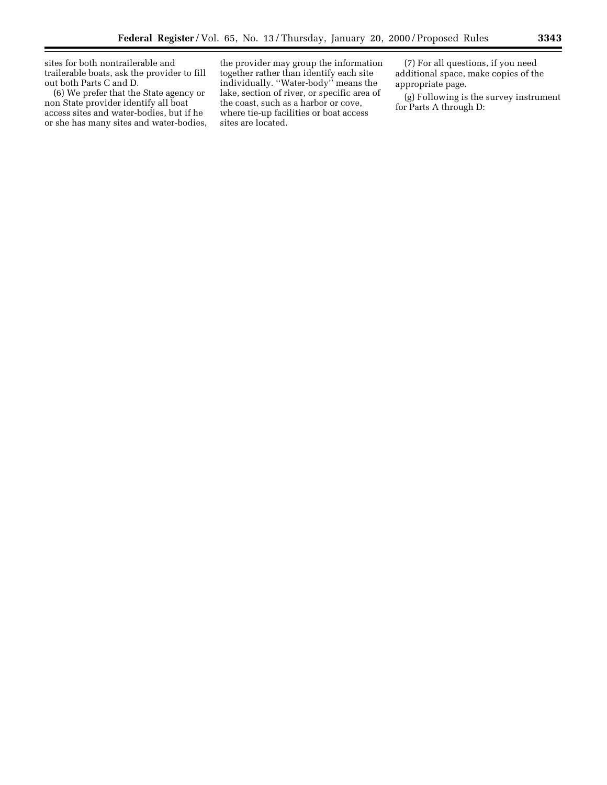sites for both nontrailerable and trailerable boats, ask the provider to fill out both Parts C and D.

(6) We prefer that the State agency or non State provider identify all boat access sites and water-bodies, but if he or she has many sites and water-bodies,

the provider may group the information together rather than identify each site individually. ''Water-body'' means the lake, section of river, or specific area of the coast, such as a harbor or cove, where tie-up facilities or boat access sites are located.

(7) For all questions, if you need additional space, make copies of the appropriate page.

(g) Following is the survey instrument for Parts A through D:

÷.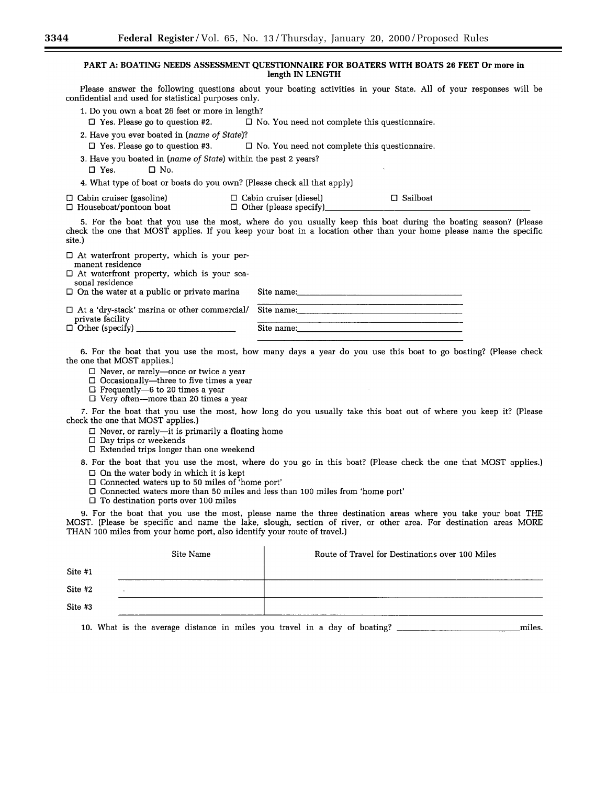## PART A: BOATING NEEDS ASSESSMENT QUESTIONNAIRE FOR BOATERS WITH BOATS 26 FEET Or more in length IN LENGTH

Please answer the following questions about your boating activities in your State. All of your responses will be confidential and used for statistical purposes only.

| 1. Do you own a boat 26 feet or more in length? |
|-------------------------------------------------|
|-------------------------------------------------|

- $\Box$  Yes. Please go to question #2.  $\Box$  No. You need not complete this questionnaire.
- 2. Have you ever boated in (name of State)?
- $\square$  No. You need not complete this questionnaire.  $\Box$  Yes. Please go to question #3.
- 3. Have you boated in (name of State) within the past 2 years?

 $\square$  Yes.  $\square$  No.

4. What type of boat or boats do you own? (Please check all that apply)

- $\Box$  Cabin cruiser (gasoline)  $\Box$  Cabin cruiser (diesel)  $\Box$  Other (please specify)
- □ Houseboat/pontoon boat

5. For the boat that you use the most, where do you usually keep this boat during the boating season? (Please check the one that MOST applies. If you keep your boat in a location other than your home please name the specific site.)

> Site name: Site name:

> Site name:

 $\square$  Sailboat

|  |  | $\Box$ At waterfront property, which is your per- |  |  |  |  |  |  |
|--|--|---------------------------------------------------|--|--|--|--|--|--|
|--|--|---------------------------------------------------|--|--|--|--|--|--|

manent residence  $\Box$  At waterfront property, which is your sea-

| sonal residence |  |  |  |
|-----------------|--|--|--|
|                 |  |  |  |
|                 |  |  |  |
|                 |  |  |  |

 $\Box$  On the water at a public or private marina

|  |                  |  | $\Box$ At a 'dry-stack' marina or other commercial/ |  |
|--|------------------|--|-----------------------------------------------------|--|
|  | private facility |  |                                                     |  |

 $\Box$  Other (specify)

6. For the boat that you use the most, how many days a year do you use this boat to go boating? (Please check the one that MOST applies.)

- $\Box$  Never, or rarely---once or twice a year
- $\Box$  Occasionally—three to five times a year
- $\Box$  Frequently-6 to 20 times a year
- $\Box$  Very often—more than 20 times a year

7. For the boat that you use the most, how long do you usually take this boat out of where you keep it? (Please check the one that MOST applies.)

- $\Box$  Never, or rarely--it is primarily a floating home
- $\Box$  Day trips or weekends
- $\Box$  Extended trips longer than one weekend

8. For the boat that you use the most, where do you go in this boat? (Please check the one that MOST applies.)  $\Box$  On the water body in which it is kept

- $\Box$  Connected waters up to 50 miles of 'home port'
- □ Connected waters more than 50 miles and less than 100 miles from 'home port'
- $\Box$  To destination ports over 100 miles

9. For the boat that you use the most, please name the three destination areas where you take your boat THE MOST. (Please be specific and name the lake, slough, section of river, or other area. For destination areas MORE THAN 100 miles from your home port, also identify your route of travel.)

|         | Site Name | Route of Travel for Destinations over 100 Miles |
|---------|-----------|-------------------------------------------------|
| Site #1 |           |                                                 |
| Site #2 | . .       |                                                 |
| Site #3 |           |                                                 |

10. What is the average distance in miles you travel in a day of boating? \_miles.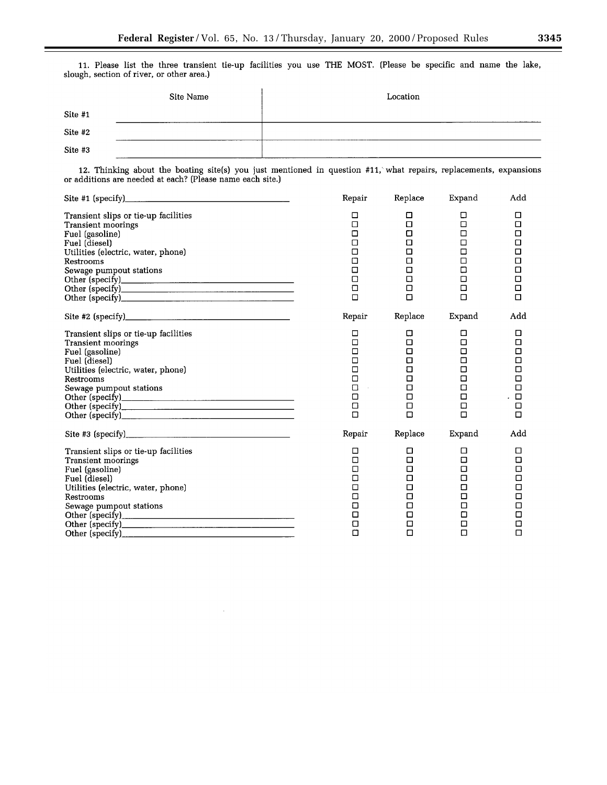11. Please list the three transient tie-up facilities you use THE MOST. (Please be specific and name the lake, slough, section of river, or other area.)

|         | Site Name | Location |
|---------|-----------|----------|
| Site #1 |           |          |
| Site #2 |           |          |
| Site #3 |           |          |

12. Thinking about the boating site(s) you just mentioned in question  $#11$ , what repairs, replacements, expansions or additions are needed at each? (Please name each site.)

|                                      | Repair | Replace | Expand | Add    |
|--------------------------------------|--------|---------|--------|--------|
| Transient slips or tie-up facilities | □      | ▫       | о      | □      |
| <b>Transient moorings</b>            | $\Box$ | $\Box$  | □      | □      |
| Fuel (gasoline)                      | О      | $\Box$  | $\Box$ | $\Box$ |
| Fuel (diesel)                        | $\Box$ | $\Box$  | □      | □      |
| Utilities (electric, water, phone)   | □      | $\Box$  | $\Box$ | □      |
| Restrooms                            | □      | $\Box$  | $\Box$ | □      |
| Sewage pumpout stations              | □      | $\Box$  | $\Box$ | □      |
|                                      | □      | $\Box$  | □      | □      |
|                                      | О      | $\Box$  | $\Box$ | ◻      |
|                                      | □      | $\Box$  | $\Box$ | $\Box$ |
|                                      | Repair | Replace | Expand | Add    |
| Transient slips or tie-up facilities | □      | о       | □      | o      |
| <b>Transient moorings</b>            | □      | $\Box$  | О      | ◻      |
| Fuel (gasoline)                      | □      | □       | Ο      | □      |
| Fuel (diesel)                        | □      | о       | о      | □      |
| Utilities (electric, water, phone)   | □      | $\Box$  | □      | □      |
| Restrooms                            | $\Box$ | $\Box$  | □      | $\Box$ |
| Sewage pumpout stations              | □      | $\Box$  | О      | $\Box$ |
|                                      | $\Box$ | $\Box$  | $\Box$ | $\Box$ |
| Other (specify)<br><u>University</u> | $\Box$ | $\Box$  | $\Box$ | □      |
| Other (specify)                      | $\Box$ | $\Box$  | $\Box$ | $\Box$ |
|                                      | Repair | Replace | Expand | Add    |
| Transient slips or tie-up facilities | □      | о       | □      | □      |
| <b>Transient moorings</b>            | $\Box$ | $\Box$  | $\Box$ | ▫      |
| Fuel (gasoline)                      | □      | О       | $\Box$ | □      |
| Fuel (diesel)                        | О      | $\Box$  | $\Box$ | □      |
| Utilities (electric, water, phone)   | 口      | $\Box$  | Ω      | о      |
| Restrooms                            | □      | $\Box$  | □      | □      |
| Sewage pumpout stations              | о      | □       | □      | □      |
|                                      | □      | $\Box$  | $\Box$ | О      |
|                                      | о      | О       | □      | □      |
|                                      | □      | $\Box$  | $\Box$ | $\Box$ |

▀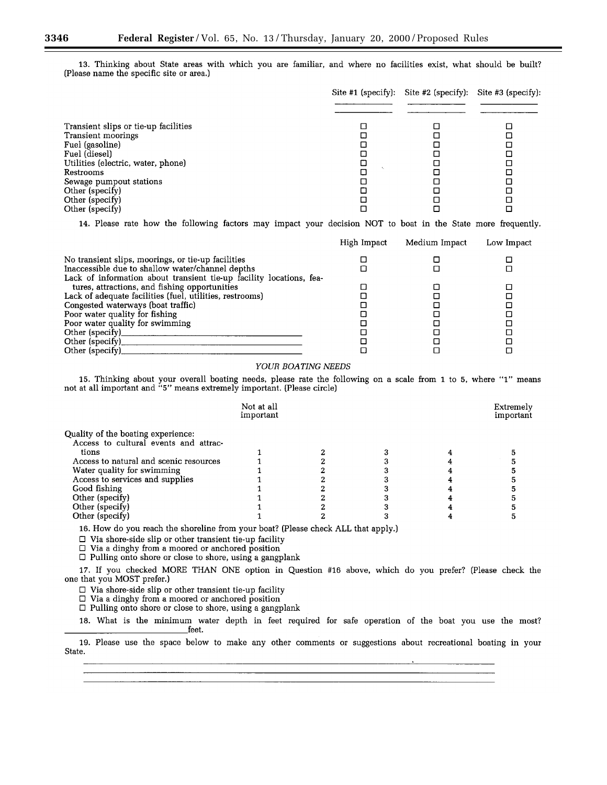13. Thinking about State areas with which you are familiar, and where no facilities exist, what should be built? (Please name the specific site or area.)

|                                      | Site #1 (specify): Site #2 (specify): Site #3 (specify): |  |  |
|--------------------------------------|----------------------------------------------------------|--|--|
|                                      |                                                          |  |  |
| Transient slips or tie-up facilities |                                                          |  |  |
| Transient moorings                   |                                                          |  |  |
| Fuel (gasoline)                      |                                                          |  |  |
| Fuel (diesel)                        |                                                          |  |  |
| Utilities (electric, water, phone)   |                                                          |  |  |
| Restrooms                            |                                                          |  |  |
| Sewage pumpout stations              |                                                          |  |  |
| Other (specify)                      |                                                          |  |  |
| Other (specify)                      |                                                          |  |  |
| Other (specify)                      |                                                          |  |  |

14. Please rate how the following factors may impact your decision NOT to boat in the State more frequently.

|                                                                     | High Impact | Medium Impact | Low Impact |
|---------------------------------------------------------------------|-------------|---------------|------------|
| No transient slips, moorings, or tie-up facilities                  |             |               |            |
| Inaccessible due to shallow water/channel depths                    |             |               |            |
| Lack of information about transient tie-up facility locations, fea- |             |               |            |
| tures, attractions, and fishing opportunities                       |             |               |            |
| Lack of adequate facilities (fuel, utilities, restrooms)            |             |               |            |
| Congested waterways (boat traffic)                                  |             |               |            |
| Poor water quality for fishing                                      |             |               |            |
| Poor water quality for swimming                                     |             |               |            |
| Other (specify)                                                     |             |               |            |
| Other (specify)                                                     |             |               |            |
| Other (specify)                                                     |             |               |            |

# YOUR BOATING NEEDS

15. Thinking about your overall boating needs, please rate the following on a scale from 1 to 5, where "1" means not at all important and "5" means extremely important. (Please circle)

| Not at all<br>important                                                                                             |  |  |  |  | Extremely<br>important |  |
|---------------------------------------------------------------------------------------------------------------------|--|--|--|--|------------------------|--|
| Quality of the boating experience:                                                                                  |  |  |  |  |                        |  |
| Access to cultural events and attrac-                                                                               |  |  |  |  |                        |  |
| tions                                                                                                               |  |  |  |  |                        |  |
| Access to natural and scenic resources                                                                              |  |  |  |  |                        |  |
|                                                                                                                     |  |  |  |  |                        |  |
|                                                                                                                     |  |  |  |  |                        |  |
|                                                                                                                     |  |  |  |  |                        |  |
|                                                                                                                     |  |  |  |  |                        |  |
|                                                                                                                     |  |  |  |  |                        |  |
| Other (specify)                                                                                                     |  |  |  |  |                        |  |
| Water quality for swimming<br>Access to services and supplies<br>Good fishing<br>Other (specify)<br>Other (specify) |  |  |  |  |                        |  |

16. How do you reach the shoreline from your boat? (Please check ALL that apply.)

 $\Box$  Via shore-side slip or other transient tie-up facility

 $\square$  Via a dinghy from a moored or anchored position

 $\Box$  Pulling onto shore or close to shore, using a gangplank

17. If you checked MORE THAN ONE option in Question #16 above, which do you prefer? (Please check the one that you MOST prefer.)

 $\Box$  Via shore-side slip or other transient tie-up facility

 $\Box$  Via a dinghy from a moored or anchored position

 $\Box$  Pulling onto shore or close to shore, using a gangplank

18. What is the minimum water depth in feet required for safe operation of the boat you use the most? feet.

19. Please use the space below to make any other comments or suggestions about recreational boating in your State.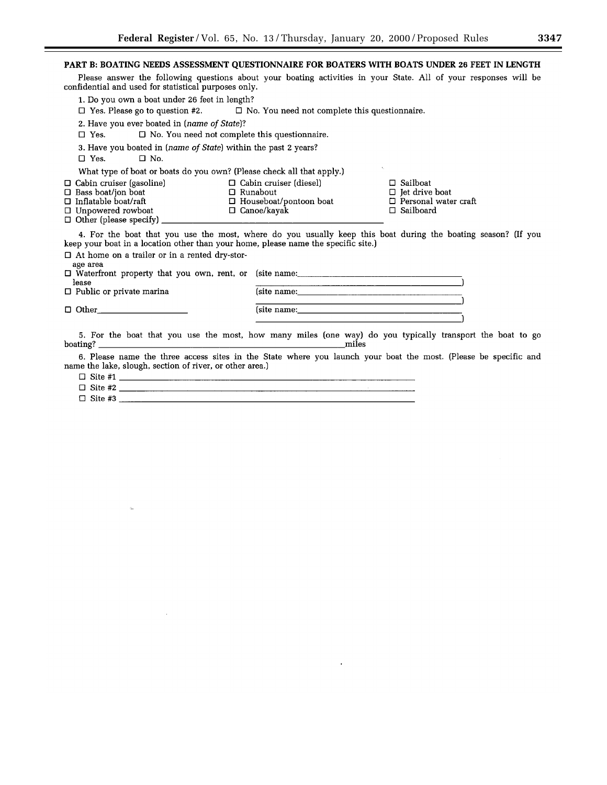# PART B: BOATING NEEDS ASSESSMENT QUESTIONNAIRE FOR BOATERS WITH BOATS UNDER 26 FEET IN LENGTH

Please answer the following questions about your boating activities in your State. All of your responses will be confidential and used for statistical purposes only.

| 1. Do you own a boat under 26 feet in length?                                                 |                                                      |                             |  |  |  |  |
|-----------------------------------------------------------------------------------------------|------------------------------------------------------|-----------------------------|--|--|--|--|
| $\Box$ Yes. Please go to question #2.<br>$\Box$ No. You need not complete this question aire. |                                                      |                             |  |  |  |  |
| 2. Have you ever boated in (name of State)?                                                   |                                                      |                             |  |  |  |  |
| $\square$ Yes.                                                                                | $\Box$ No. You need not complete this question aire. |                             |  |  |  |  |
| 3. Have you boated in (name of State) within the past 2 years?                                |                                                      |                             |  |  |  |  |
| $\Box$ Yes.<br>$\Box$ No.                                                                     |                                                      |                             |  |  |  |  |
| What type of boat or boats do you own? (Please check all that apply.)                         |                                                      |                             |  |  |  |  |
| $\Box$ Cabin cruiser (gasoline)                                                               | $\Box$ Cabin cruiser (diesel)                        | $\Box$ Sailboat             |  |  |  |  |
| $\Box$ Bass boat/jon boat                                                                     | $\square$ Runabout                                   | $\Box$ Jet drive boat       |  |  |  |  |
| $\Box$ Inflatable boat/raft                                                                   | $\Box$ Houseboat/pontoon boat                        | $\Box$ Personal water craft |  |  |  |  |
| $\Box$ Unpowered rowboat                                                                      | $\Box$ Canoe/kayak                                   | $\Box$ Sailboard            |  |  |  |  |
| $\Box$ Other (please specify)                                                                 |                                                      |                             |  |  |  |  |

4. For the boat that you use the most, where do you usually keep this boat during the boating season? (If you keep your boat in a location other than your home, please name the specific site.)

 $\Box$  At home on a trailer or in a rented dry-storage area

| $\Box$ Waterfront property that you own, rent, or (site name: |             |
|---------------------------------------------------------------|-------------|
| lease<br>$\Box$ Public or private marina                      | (site name: |
| $\Box$ Other                                                  | (site name: |

5. For the boat that you use the most, how many miles (one way) do you typically transport the boat to go boating? miles

6. Please name the three access sites in the State where you launch your boat the most. (Please be specific and name the lake, slough, section of river, or other area.)

| $\sqcup$ Site #1 |  |  |
|------------------|--|--|
| $\Box$ Site #2   |  |  |
| $\Box$ Site #3   |  |  |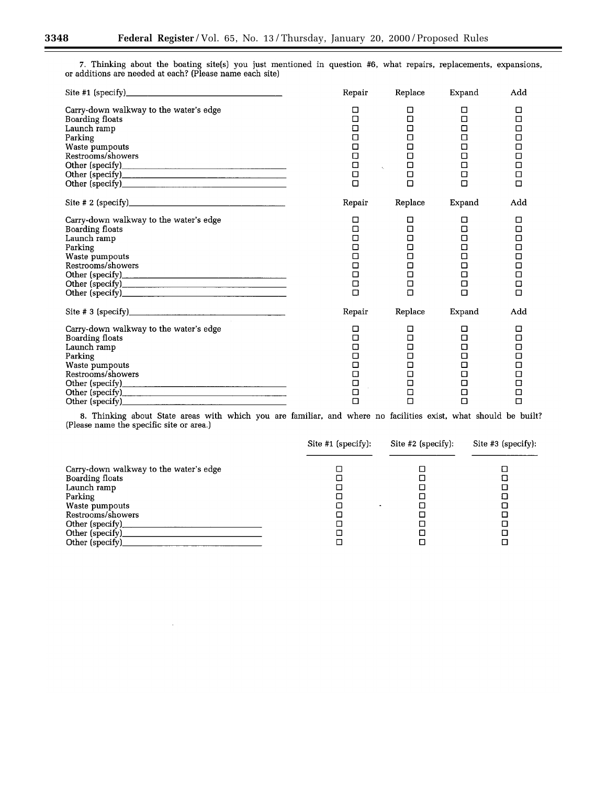7. Thinking about the boating site(s) you just mentioned in question #6, what repairs, replacements, expansions, or additions are needed at each? (Please name each site)

|                                                                                                                                                                                                                                                                                                                      | Repair                                                                                                   | Replace                                                                                   | Expand                                                                            | Add                                                                               |
|----------------------------------------------------------------------------------------------------------------------------------------------------------------------------------------------------------------------------------------------------------------------------------------------------------------------|----------------------------------------------------------------------------------------------------------|-------------------------------------------------------------------------------------------|-----------------------------------------------------------------------------------|-----------------------------------------------------------------------------------|
| Carry-down walkway to the water's edge<br>Boarding floats<br>Launch ramp<br>Parking<br>Waste pumpouts<br>Restrooms/showers<br>Other (specify)<br><u>Detection</u>                                                                                                                                                    | □<br>$\Box$<br>$\Box$<br>$\Box$<br>$\Box$<br>$\Box$<br>□<br>О<br>О                                       | □<br>$\Box$<br>□<br>$\Box$<br>$\Box$<br>$\Box$<br>Ω<br>$\mathbf{v}_k$<br>$\Box$<br>$\Box$ | □<br>$\Box$<br>$\Box$<br>$\Box$<br>$\Box$<br>$\Box$<br>$\Box$<br>$\Box$<br>$\Box$ | □<br>□<br>$\Box$<br>$\Box$<br>$\Box$<br>$\Box$<br>$\Box$<br>$\Box$<br>$\Box$      |
|                                                                                                                                                                                                                                                                                                                      | Repair                                                                                                   | Replace                                                                                   | Expand                                                                            | Add                                                                               |
| Carry-down walkway to the water's edge<br><b>Boarding floats</b><br>Launch ramp<br>Parking<br>Waste pumpouts<br>Restrooms/showers<br>Other (specify)                                                                                                                                                                 | □<br>□<br>$\Box$<br>$\Box$<br>◻<br>$\Box$<br>$\Box$<br>$\Box$<br>□                                       | □<br>$\Box$<br>$\Box$<br>$\Box$<br>□<br>$\Box$<br>$\Box$<br>$\Box$<br>Ω                   | ⊡<br>$\Box$<br>$\Box$<br>$\Box$<br>□<br>$\Box$<br>$\Box$<br>$\Box$<br>$\Box$      | ◻<br>□<br>$\Box$<br>$\Box$<br>$\Box$<br>$\Box$<br>$\Box$<br>$\Box$<br>$\Box$      |
|                                                                                                                                                                                                                                                                                                                      | Repair                                                                                                   | Replace                                                                                   | Expand                                                                            | Add                                                                               |
| Carry-down walkway to the water's edge<br><b>Boarding floats</b><br>Launch ramp<br>Parking<br>Waste pumpouts<br>Restrooms/showers<br>Other (specify)<br>Other (specify)_<br><u> 1989 - Johann Stein, marwolaethau a bhann an t-Amhainn an t-Amhainn an t-Amhainn an t-Amhainn an t-Amhainn an</u><br>Other (specify) | □<br>$\Box$<br>$\Box$<br>□<br>□<br>$\Box$<br>$\begin{array}{c} \square \\ \square \end{array}$<br>$\Box$ | □<br>$\Box$<br>$\Box$<br>口<br>$\Box$<br>$\Box$<br>口<br>$\Box$<br>п                        | □<br>$\Box$<br>$\Box$<br>□<br>$\Box$<br>$\Box$<br>□<br>$\Box$<br>$\Box$           | □<br>$\Box$<br>$\Box$<br>$\Box$<br>$\Box$<br>$\Box$<br>$\Box$<br>$\Box$<br>$\Box$ |

8. Thinking about State areas with which you are familiar, and where no facilities exist, what should be built? (Please name the specific site or area.)

|                                        | Site #1 (specify): | Site #2 (specify): | Site #3 (specify): |
|----------------------------------------|--------------------|--------------------|--------------------|
|                                        |                    |                    |                    |
| Carry-down walkway to the water's edge |                    |                    |                    |
| Boarding floats                        |                    |                    |                    |
| Launch ramp                            |                    |                    |                    |
| Parking                                |                    |                    |                    |
| Waste pumpouts                         |                    |                    |                    |
| Restrooms/showers                      |                    |                    |                    |
| Other (specify)                        |                    |                    |                    |
| Other (specify)                        |                    |                    |                    |
| Other (specify)                        |                    |                    |                    |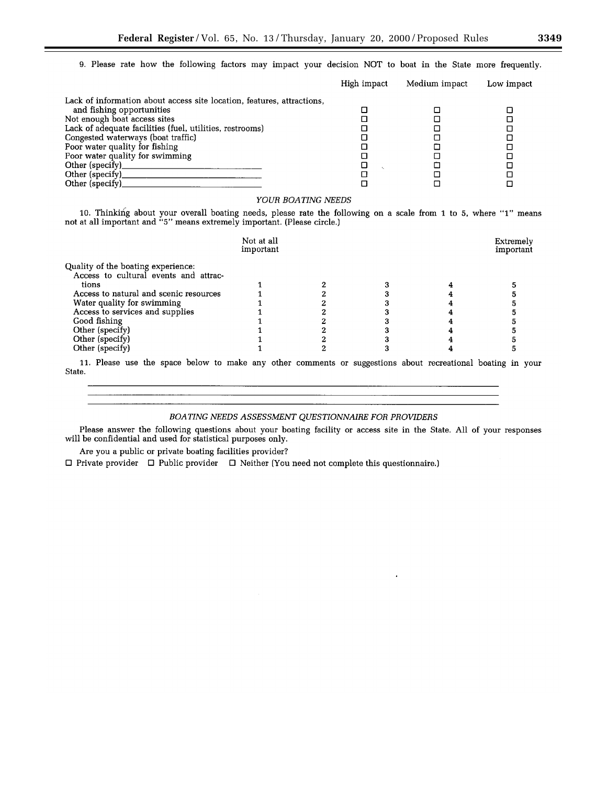9. Please rate how the following factors may impact your decision NOT to boat in the State more frequently.

|                                                                        | High impact | Medium impact | Low impact |
|------------------------------------------------------------------------|-------------|---------------|------------|
| Lack of information about access site location, features, attractions, |             |               |            |
| and fishing opportunities                                              |             |               |            |
| Not enough boat access sites                                           |             |               |            |
| Lack of adequate facilities (fuel, utilities, restrooms)               |             |               |            |
| Congested waterways (boat traffic)                                     |             |               |            |
| Poor water quality for fishing                                         |             |               |            |
| Poor water quality for swimming                                        |             |               |            |
| Other (specify)                                                        |             |               |            |
| Other (specify)                                                        |             |               |            |
| Other (specify)                                                        |             |               |            |

# YOUR BOATING NEEDS

10. Thinking about your overall boating needs, please rate the following on a scale from 1 to 5, where "1" means not at all important and "5" means extremely important. (Please circle.)

|                                                                                                            | Not at all<br>important |  | Extremely<br>important |
|------------------------------------------------------------------------------------------------------------|-------------------------|--|------------------------|
| Quality of the boating experience:                                                                         |                         |  |                        |
| Access to cultural events and attrac-                                                                      |                         |  |                        |
| tions                                                                                                      |                         |  |                        |
| Access to natural and scenic resources                                                                     |                         |  |                        |
| Water quality for swimming                                                                                 |                         |  |                        |
| Access to services and supplies                                                                            |                         |  |                        |
| Good fishing                                                                                               |                         |  |                        |
| Other (specify)                                                                                            |                         |  |                        |
| Other (specify)                                                                                            |                         |  |                        |
| Other (specify)                                                                                            |                         |  |                        |
| 11. Please use the space below to make any other comments or suggestions about recreational boating in you |                         |  |                        |

ır State.

# BOATING NEEDS ASSESSMENT QUESTIONNAIRE FOR PROVIDERS

Please answer the following questions about your boating facility or access site in the State. All of your responses will be confidential and used for statistical purposes only.

Are you a public or private boating facilities provider?

 $\Box$  Private provider  $\Box$  Public provider  $\Box$  Neither (You need not complete this questionnaire.)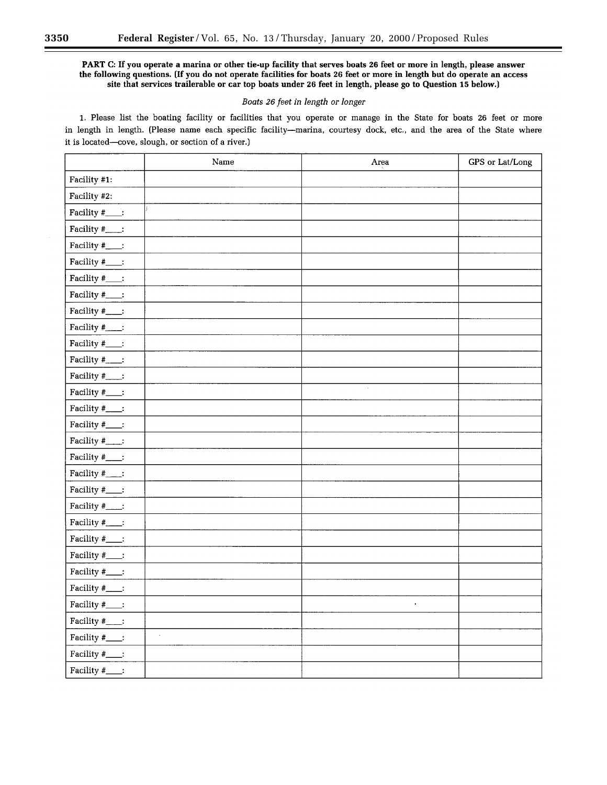# PART C: If you operate a marina or other tie-up facility that serves boats 26 feet or more in length, please answer the following questions. (If you do not operate facilities for boats 26 feet or more in length but do operate an access site that services trailerable or car top boats under 26 feet in length, please go to Question 15 below.)

## Boats 26 feet in length or longer

1. Please list the boating facility or facilities that you operate or manage in the State for boats 26 feet or more in length in length. (Please name each specific facility-marina, courtesy dock, etc., and the area of the State where it is located-cove, slough, or section of a river.)

|                        | Name        | Area      | GPS or Lat/Long |
|------------------------|-------------|-----------|-----------------|
| Facility #1:           |             |           |                 |
| Facility #2:           |             |           |                 |
| Facility #____:        |             |           |                 |
| Facility #____:        |             |           |                 |
| Facility #____:        |             |           |                 |
| Facility #____:        |             |           |                 |
| Facility #____:        |             |           |                 |
| Facility #____:        |             |           |                 |
| Facility #____:        |             |           |                 |
| Facility #____:        |             |           |                 |
| Facility #____:        |             |           |                 |
| Facility $\sharp$ ___: |             |           |                 |
| Facility #____:        |             |           |                 |
| Facility #____:        |             | $\bar{z}$ |                 |
| Facility #____:        |             |           |                 |
| Facility #____:        |             |           |                 |
| Facility #____:        |             |           |                 |
| Facility $\sharp$ ___: |             |           | $\sim$          |
| Facility #____:        |             |           |                 |
| Facility #____:        |             |           |                 |
| Facility #____:        |             |           |                 |
| Facility #____:        |             |           |                 |
| Facility #____:        |             |           |                 |
| Facility #____:        |             |           |                 |
| Facility #____:        |             |           |                 |
| Facility #____:        |             |           |                 |
| Facility #____:        |             | $\bullet$ |                 |
| Facility #____:        |             |           |                 |
| Facility #____:        | $\bar{\nu}$ |           |                 |
| Facility #____:        |             |           |                 |
| Facility #____:        |             |           |                 |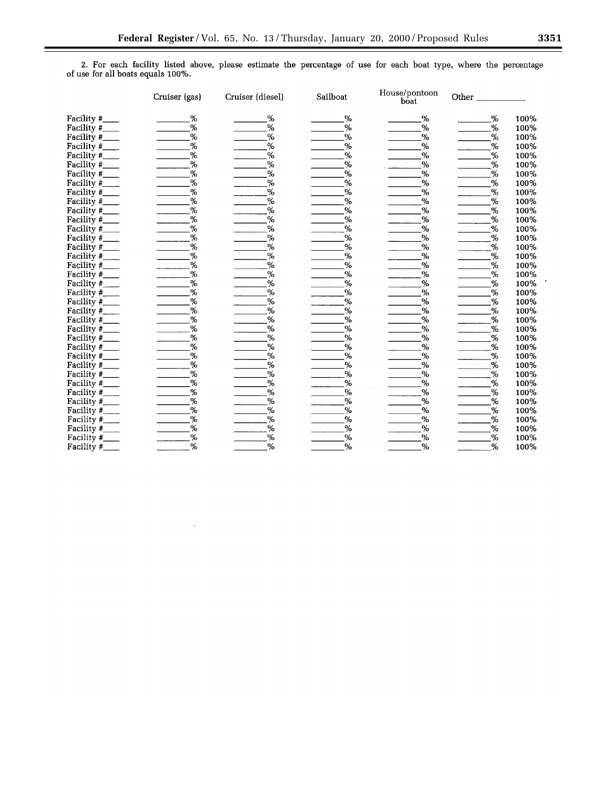2. For each facility listed above, please estimate the percentage of use for each boat type, where the percentage of use for all boats equals 100%.

|                | Cruiser (gas)  | Cruiser (diesel) | Sailboat      | House/pontoon<br>boat                                                                                                                                                                                                                     | Other         |      |
|----------------|----------------|------------------|---------------|-------------------------------------------------------------------------------------------------------------------------------------------------------------------------------------------------------------------------------------------|---------------|------|
| Facility #     | %              | %                | %             | %                                                                                                                                                                                                                                         | %             | 100% |
| Facility #     | $-\frac{9}{6}$ | %                | %             | %                                                                                                                                                                                                                                         | %             | 100% |
| Facility #     | %              | %                | %             | $\%$                                                                                                                                                                                                                                      | %             | 100% |
|                | %              | %                | %             | %                                                                                                                                                                                                                                         | %             | 100% |
| Facility #     | %              | %                | $\%$          | %                                                                                                                                                                                                                                         | %             | 100% |
| Facility #     | %              | %                | %             | %<br><u>and the community of the community of the community of the community of the community of the community of the community of the community of the community of the community of the community of the community of the community</u> | $\frac{9}{6}$ | 100% |
| Facility #     | %              | %                | %             | %                                                                                                                                                                                                                                         | $\frac{0}{2}$ | 100% |
| Facility #     | %              | %                | %             | %                                                                                                                                                                                                                                         | $\frac{9}{6}$ | 100% |
| Facility #     | %              | %                | %             | %                                                                                                                                                                                                                                         | %             | 100% |
| Facility #     | $\frac{9}{6}$  | %                | %             | %                                                                                                                                                                                                                                         | %             | 100% |
| Facility #_    | $\sim$ %       | $\%$             | $\%$          | %                                                                                                                                                                                                                                         | %             | 100% |
| Facility #     | $\frac{9}{6}$  | $\frac{9}{6}$    | %             | %                                                                                                                                                                                                                                         | %             | 100% |
| Facility #     | %              | $\frac{9}{6}$    | %             | %                                                                                                                                                                                                                                         | %             | 100% |
| Facility #____ | %              | %                | %             | %                                                                                                                                                                                                                                         | %             | 100% |
| Facility #____ | %              | %                | %             | %                                                                                                                                                                                                                                         | %             | 100% |
| Facility #     | $\frac{9}{6}$  | $\frac{9}{6}$    | %<br>$\sim$   | %                                                                                                                                                                                                                                         | %             | 100% |
| Facility #     | %              | %                | %             | %                                                                                                                                                                                                                                         | %             | 100% |
| Facility #     | $\frac{9}{6}$  | %                | %             | %                                                                                                                                                                                                                                         | %             | 100% |
| Facility #     | %              | %                | %             | %                                                                                                                                                                                                                                         | %             | 100% |
| Facility #     | %              | %                | %             | %                                                                                                                                                                                                                                         | %             | 100% |
| Facility #     | $\frac{9}{6}$  | %                | %             | %                                                                                                                                                                                                                                         | %             | 100% |
| Facility #     | %              | %                | %             | %                                                                                                                                                                                                                                         | %             | 100% |
| Facility #     | %              | %                | %             | %                                                                                                                                                                                                                                         | %             | 100% |
| Facility #     | %              | %                | %             | %                                                                                                                                                                                                                                         | %             | 100% |
| Facility #     | %              | %                | %             | $\frac{9}{6}$                                                                                                                                                                                                                             | $\frac{9}{6}$ | 100% |
| Facility #     | %              | %                | %             | %                                                                                                                                                                                                                                         | %             | 100% |
| Facility #     | %              | $\%$             | %             | %                                                                                                                                                                                                                                         | %             | 100% |
| Facility #     | %              | %                | %             | %                                                                                                                                                                                                                                         | %             | 100% |
| Facility #_    | $\frac{9}{6}$  | %                | $\frac{9}{6}$ | %                                                                                                                                                                                                                                         | $\frac{9}{6}$ | 100% |
| Facility #     | %              | %                | %             | %                                                                                                                                                                                                                                         | %             | 100% |
| Facility #     | %              | %                | %             | %                                                                                                                                                                                                                                         | %             | 100% |
| Facility #     | %              | %                | %             | %                                                                                                                                                                                                                                         | %             | 100% |
| Facility #     | %              | %                | %             | %                                                                                                                                                                                                                                         | $\frac{9}{6}$ | 100% |
| Facility #     | %              | %                | %             | %                                                                                                                                                                                                                                         | %             | 100% |
| Facility #     | %              | %                | %             | %                                                                                                                                                                                                                                         | $\frac{9}{6}$ | 100% |
| Facility #     | %              | $\%$             | %             | %                                                                                                                                                                                                                                         | %             | 100% |
| Facility #     | %              | %                | %             | %                                                                                                                                                                                                                                         | %             | 100% |

 $\cdot$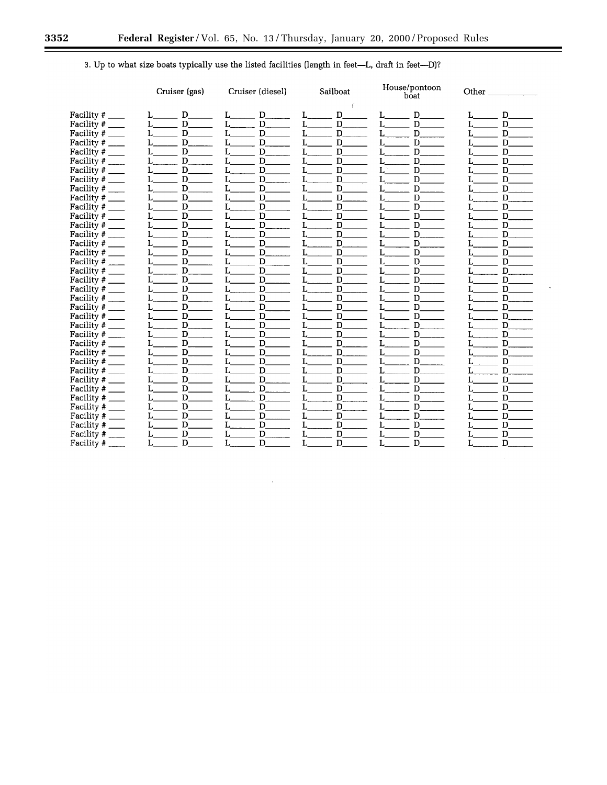|                      | Cruiser (gas)                      | Cruiser (diesel) | Sailboat                           | House/pontoon<br>boat  | Other    |
|----------------------|------------------------------------|------------------|------------------------------------|------------------------|----------|
| Facility #           | D,<br>L.                           | D                | D                                  | D<br>L                 | D<br>L.  |
| Facility #           | D<br>$\mathbf{L}$ and $\mathbf{L}$ | $D_1$            | D<br>$\mathbf{L}$ and $\mathbf{L}$ | D                      | $D_$     |
| Facility #_          | D<br>L                             | L<br>D.          | D                                  | D<br>L                 | D        |
| Facility # $-$       | D.                                 | D<br>L           | D<br>L                             | D<br>L                 | D        |
| Facility #           | D<br>L                             | D.<br>L          | D<br>L                             | D<br>L                 | D        |
| Facility #           | D<br>L                             | D<br>L           | D<br>L                             | D<br>L                 | D<br>L   |
| Facility #           | D.<br>L                            | D.<br>L          | $\mathbf{D}$<br>L                  | $\Gamma_{\rm s}$<br>D. | D.<br>L. |
| Facility #           | D<br>L                             | D.<br>L          | D<br>L                             | D.<br>L                | D.<br>L  |
| Facility #           | D                                  | D.<br>L          | D.                                 | D.                     | D<br>L   |
| Facility #           | D<br>L                             | D.<br>L          | D                                  | D<br>L                 | D        |
| Facility $#$ ____.   | D.<br>L                            | D<br>L           | L<br>D                             | D<br>L                 | D        |
| Facility #           | D.<br>L                            | D.<br>L          | D<br>L                             | D<br>L                 | D.<br>L  |
|                      | D                                  | D<br>L           | D<br>L                             | D<br>L                 | D        |
| Facility # $-$       | D<br>L                             | D.<br>L          | D<br>L                             | D<br>L                 | D<br>L   |
| Facility $#_$        | D<br>L                             | D<br>L           | D<br>L                             | D<br>L                 | D<br>L   |
| Facility #           | D.<br>L                            | L<br>D           | D<br>L                             | D<br>L                 | D<br>L.  |
| Facility #           | D.                                 | D.<br>L          | D                                  | D.<br>L                | D.<br>L  |
| Facility #           | D                                  | D.<br>L          | D                                  | D<br>L                 | D        |
| Facility #           | D<br>L                             | D<br>L           | D<br>L                             | D.<br>L                | D.       |
| Facility #           | D.<br>L                            | D<br>L           | D                                  | D<br>L                 | D        |
| Facility #           | D.<br>L                            | D<br>L           | D                                  | D.<br>L                | D.       |
| Facility $#_$        | D.<br>L                            | D<br>г           | D<br>L                             | D<br>L                 | D.       |
| Facility #           | D.<br>L                            | D<br>L           | D<br>L                             | D<br>L                 | D<br>L   |
|                      | D.<br>L                            | D<br>г           | D<br>L                             | D.<br>L                | D<br>L.  |
| Facility #           | D.                                 | L<br>D           | D                                  | D.<br>L                | D.<br>L  |
| Facility #           | D.                                 | D.<br>L          | D                                  | D.<br>L                | D.<br>L  |
| Facility #           | D                                  | D<br>L           | D<br>L                             | D<br>L                 | D        |
|                      | D.<br>L                            | D.<br>L          | D<br>L                             | D.<br>L                | D<br>L   |
| Facility $#$ _______ | D                                  | D<br>L           | D<br>L                             | D<br>L                 | D        |
| Facility $#_$        | D.<br>L,                           | D.<br>L.         | $\mathbf D$<br>L                   | D<br>L                 | D<br>L   |
|                      | D.<br>L                            | D.<br>L          | D<br>L                             | D<br>L                 | D<br>L   |
| Facility #           | D.<br>L                            | D.<br>L          | D.                                 | D.<br>L                | D.<br>L  |
| Facility #           | D                                  | D<br>L           | D                                  | D                      | D        |
| Facility #           | D.<br>L                            | D<br>L           | D<br>L                             | D<br>L                 | D        |
| Facility #           | D<br>L                             | L<br>D           | D                                  | D<br>L                 | D.       |
| Facility #           | D.<br>L                            | L<br>D.          | L<br>D                             | D.<br>L                | D<br>L   |
| Facility #           | T.<br>D                            | T.<br>D          | T.<br>D                            | D<br>Τ.                | L<br>D   |

 $\mathbb{Z}$ 

 $\ddot{\phantom{a}}$ 

# 3. Up to what size boats typically use the listed facilities (length in feet-L, draft in feet--D)?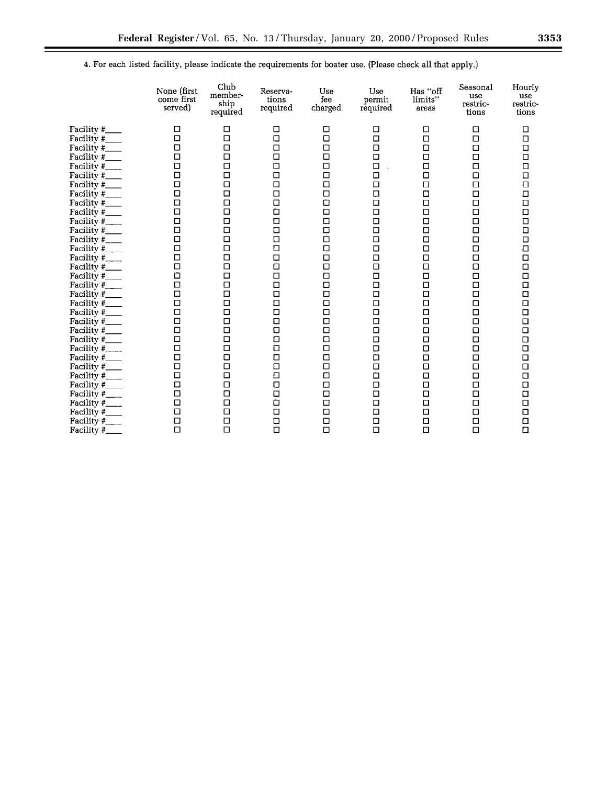|  | 4. For each listed facility, please indicate the requirements for boater use. (Please check all that apply.) |  |
|--|--------------------------------------------------------------------------------------------------------------|--|
|--|--------------------------------------------------------------------------------------------------------------|--|

|                                                                                                                                                                                                                                                                                                                                                                                                                                                                                      | None (first<br>come first<br>served)                                                                                                                                                                                                                                                                                              | Club<br>member-<br>ship<br>required                                                                                                                                                                                                                                                                                               | Reserva-<br>tions<br>required                                                                                                                                                                                                                                                                                            | Use<br>fee<br>charged                                                                                                                                                                                                                                                                                         | Use<br>permit<br>required                                                                                                                                                                                                                                                                                                                          | Has "off<br>limits"<br>areas                                                                                                                                                                                                                                                                                                      | Seasonal<br>use<br>restric-<br>tions                                                                                                                                                                                                                                                                                              | Hourly<br>use<br>restric-<br>tions                                                                                                                                                                                                                                                                                |
|--------------------------------------------------------------------------------------------------------------------------------------------------------------------------------------------------------------------------------------------------------------------------------------------------------------------------------------------------------------------------------------------------------------------------------------------------------------------------------------|-----------------------------------------------------------------------------------------------------------------------------------------------------------------------------------------------------------------------------------------------------------------------------------------------------------------------------------|-----------------------------------------------------------------------------------------------------------------------------------------------------------------------------------------------------------------------------------------------------------------------------------------------------------------------------------|--------------------------------------------------------------------------------------------------------------------------------------------------------------------------------------------------------------------------------------------------------------------------------------------------------------------------|---------------------------------------------------------------------------------------------------------------------------------------------------------------------------------------------------------------------------------------------------------------------------------------------------------------|----------------------------------------------------------------------------------------------------------------------------------------------------------------------------------------------------------------------------------------------------------------------------------------------------------------------------------------------------|-----------------------------------------------------------------------------------------------------------------------------------------------------------------------------------------------------------------------------------------------------------------------------------------------------------------------------------|-----------------------------------------------------------------------------------------------------------------------------------------------------------------------------------------------------------------------------------------------------------------------------------------------------------------------------------|-------------------------------------------------------------------------------------------------------------------------------------------------------------------------------------------------------------------------------------------------------------------------------------------------------------------|
| Facility #<br>Facility #_<br>Facility #<br>Facility #<br>Facility #<br>Facility #<br>Facility #<br>Facility #<br>Facility #<br>Facility #<br>Facility #<br>Facility #<br>Facility #_<br>Facility #<br>Facility #<br>Facility #<br>Facility #<br>Facility #<br>Facility #<br>Facility #<br>Facility #____<br>Facility $#_$<br>Facility #_<br>Facility #<br>Facility #<br>Facility #<br>Facility #<br>Facility #<br>Facility #<br>Facility #<br>Facility #<br>Facility #<br>Facility # | ◘<br>$\Box$<br>$\Box$<br>$\Box$<br>$\Box$<br>$\Box$<br>$\Box$<br>$\Box$<br>$\Box$<br>$\Box$<br>$\Box$<br>$\Box$<br>$\Box$<br>$\Box$<br>$\Box$<br>$\Box$<br>$\Box$<br>$\Box$<br>$\Box$<br>$\Box$<br>$\Box$<br>$\Box$<br>$\Box$<br>$\Box$<br>$\Box$<br>$\Box$<br>$\Box$<br>$\Box$<br>$\Box$<br>$\Box$<br>$\Box$<br>$\Box$<br>$\Box$ | О<br>$\Box$<br>$\Box$<br>$\Box$<br>$\Box$<br>$\Box$<br>$\Box$<br>$\Box$<br>$\Box$<br>$\Box$<br>$\Box$<br>$\Box$<br>$\Box$<br>$\Box$<br>$\Box$<br>$\Box$<br>$\Box$<br>$\Box$<br>$\Box$<br>$\Box$<br>$\Box$<br>$\Box$<br>$\Box$<br>$\Box$<br>$\Box$<br>$\Box$<br>$\Box$<br>$\Box$<br>$\Box$<br>$\Box$<br>$\Box$<br>$\Box$<br>$\Box$ | □<br>$\Box$<br>$\Box$<br>$\Box$<br>$\Box$<br>$\Box$<br>$\Box$<br>$\Box$<br>$\Box$<br>$\square$<br>$\Box$<br>$\Box$<br>$\Box$<br>$\Box$<br>$\Box$<br>$\Box$<br>$\Box$<br>$\Box$<br>$\Box$<br>Ω<br>$\Box$<br>$\Box$<br>$\Box$<br>$\Box$<br>$\Box$<br>$\Box$<br>$\square$<br>$\Box$<br>О<br>О<br>$\Box$<br>$\Box$<br>$\Box$ | □<br>О<br>О<br>$\Box$<br>$\Box$<br>О<br>$\Box$<br>$\Box$<br>$\Box$<br>$\Box$<br>$\Box$<br>$\Box$<br>$\Box$<br>$\Box$<br>$\Box$<br>$\Box$<br>$\Box$<br>$\Box$<br>$\Box$<br>$\Box$<br>$\Box$<br>$\Box$<br>$\Box$<br>$\Box$<br>$\Box$<br>$\Box$<br>$\Box$<br>$\Box$<br>О<br>$\Box$<br>$\Box$<br>$\Box$<br>$\Box$ | □<br>$\Box$<br>$\Box$<br>$\Box$<br>$\Box$<br>$\epsilon_{\rm c}$<br>$\Box$<br>$\Box$<br>$\Box$<br>$\Box$<br>$\Box$<br>$\Box$<br>$\Box$<br>$\Box$<br>$\Box$<br>$\Box$<br>$\Box$<br>$\Box$<br>$\Box$<br>$\Box$<br>$\Box$<br>$\Box$<br>$\Box$<br>$\Box$<br>$\Box$<br>$\Box$<br>$\Box$<br>$\Box$<br>$\Box$<br>Д<br>$\Box$<br>$\Box$<br>$\Box$<br>$\Box$ | □<br>$\Box$<br>$\Box$<br>$\Box$<br>$\Box$<br>$\Box$<br>$\Box$<br>$\Box$<br>$\Box$<br>$\Box$<br>$\Box$<br>$\Box$<br>$\Box$<br>$\Box$<br>$\Box$<br>$\Box$<br>$\Box$<br>$\Box$<br>$\Box$<br>$\Box$<br>$\Box$<br>$\Box$<br>$\Box$<br>$\Box$<br>$\Box$<br>$\Box$<br>$\Box$<br>$\Box$<br>$\Box$<br>$\Box$<br>$\Box$<br>$\Box$<br>$\Box$ | □<br>$\Box$<br>$\Box$<br>$\Box$<br>$\Box$<br>$\Box$<br>$\Box$<br>$\Box$<br>$\Box$<br>$\Box$<br>$\Box$<br>$\Box$<br>$\Box$<br>$\Box$<br>$\Box$<br>$\Box$<br>$\Box$<br>$\Box$<br>$\Box$<br>$\Box$<br>$\Box$<br>$\Box$<br>$\Box$<br>$\Box$<br>$\Box$<br>$\Box$<br>$\Box$<br>$\Box$<br>$\Box$<br>$\Box$<br>$\Box$<br>$\Box$<br>$\Box$ | □<br>$\Box$<br>$\Box$<br>$\Box$<br>$\Box$<br>$\Box$<br>$\square$<br>$\Box$<br>$\Box$<br>$\Box$<br>$\Box$<br>$\Box$<br>$\Box$<br>00<br>0<br>$\Box$<br>$\Box$<br>$\Box$<br>$\Box$<br>$\Box$<br>$\Box$<br>$\Box$<br>$\Box$<br>$\Box$<br>$\Box$<br>$\Box$<br>$\Box$<br>$\Box$<br>$\Box$<br>$\Box$<br>$\Box$<br>$\Box$ |
| Facility #                                                                                                                                                                                                                                                                                                                                                                                                                                                                           | $\Box$                                                                                                                                                                                                                                                                                                                            | $\Box$                                                                                                                                                                                                                                                                                                                            | $\Box$                                                                                                                                                                                                                                                                                                                   | $\Box$                                                                                                                                                                                                                                                                                                        | $\Box$                                                                                                                                                                                                                                                                                                                                             | $\Box$                                                                                                                                                                                                                                                                                                                            | $\Box$                                                                                                                                                                                                                                                                                                                            | $\Box$                                                                                                                                                                                                                                                                                                            |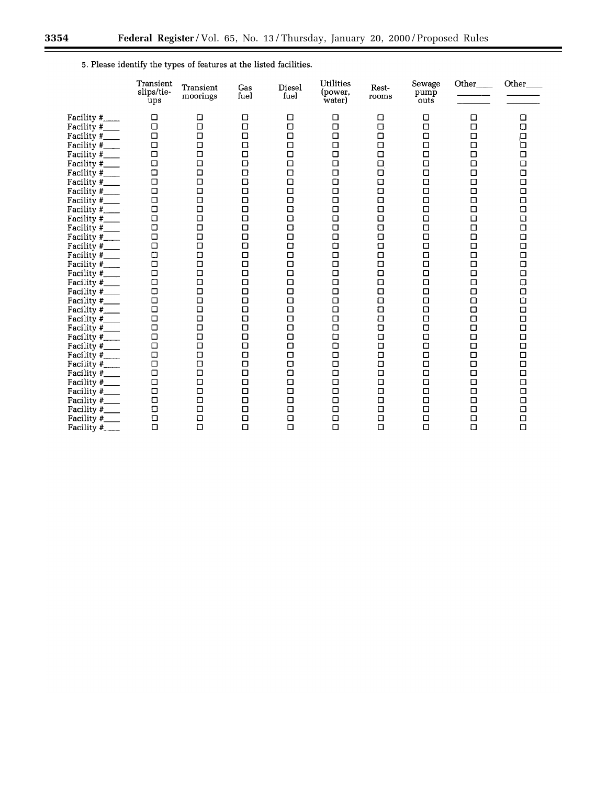5. Please identify the types of features at the listed facilities.

|                        | Transient<br>slips/tie-<br>ups | Transient<br>moorings | Gas<br>fuel | Diesel<br>fuel | <b>Utilities</b><br>(power,<br>water) | Rest-<br>rooms | Sewage<br>pump<br>outs | Other_ | Other  |
|------------------------|--------------------------------|-----------------------|-------------|----------------|---------------------------------------|----------------|------------------------|--------|--------|
| Facility #             | □                              | О                     | □           | □              | П                                     | ◘              | □                      | □      | □      |
| Facility #             | $\Box$                         | $\Box$                | $\Box$      | $\Box$         | $\Box$                                | $\Box$         | $\Box$                 | $\Box$ | $\Box$ |
| Facility #_            | $\Box$                         | $\Box$                | $\Box$      | $\Box$         | $\Box$                                | $\Box$         | $\Box$                 | $\Box$ | O,     |
| Facility #             | $\Box$                         | $\Box$                | $\Box$      | $\Box$         | $\Box$                                | $\Box$         | $\Box$                 | $\Box$ | ó      |
| Facility #             | $\Box$                         | $\Box$                | $\Box$      | $\Box$         | $\square$                             | $\Box$         | $\Box$                 | $\Box$ | $\Box$ |
| Facility #             | $\Box$                         | $\Box$                | $\Box$      | $\Box$         | $\Box$                                | $\Box$         | $\Box$                 | $\Box$ | $\Box$ |
| Facility #             | $\Box$                         | $\Box$                | $\Box$      | $\Box$         | $\Box$                                | $\Box$         | $\Box$                 | $\Box$ | $\Box$ |
| Facility #             | $\Box$                         | $\Box$                | $\Box$      | $\Box$         | $\Box$                                | $\Box$         | $\Box$                 | $\Box$ | $\Box$ |
| Facility #             | $\Box$                         | $\Box$                | $\Box$      | $\Box$         | $\Box$                                | $\Box$         | $\Box$                 | $\Box$ | $\Box$ |
| Facility #             | $\Box$                         | $\Box$                | $\Box$      | $\Box$         | $\square$                             | $\Box$         | $\Box$                 | $\Box$ | $\Box$ |
| Facility #_            | $\Box$                         | $\Box$                | $\Box$      | $\Box$         | $\Box$                                | $\Box$         | $\Box$                 | $\Box$ | $\Box$ |
| Facility #_            | $\Box$                         | $\Box$                | $\Box$      | $\Box$         | $\square$                             | $\Box$         | $\Box$                 | $\Box$ | $\Box$ |
| Facility #____         | О                              | $\Box$                | $\Box$      | $\Box$         | $\Box$                                | $\Box$         | $\Box$                 | $\Box$ | $\Box$ |
| Facility $\frac{4}{2}$ | $\Box$                         | $\Box$                | $\Box$      | $\Box$         | $\Box$                                | $\Box$         | $\Box$                 | $\Box$ | О      |
| Facility #             | $\Box$                         | $\Box$                | $\Box$      | $\Box$         | $\Box$                                | $\Box$         | $\Box$                 | $\Box$ | $\Box$ |
| Facility #_            | $\Box$                         | $\Box$                | $\Box$      | $\Box$         | $\Box$                                | $\Box$         | $\Box$                 | $\Box$ | $\Box$ |
| Facility #             | $\Box$                         | О                     | $\Box$      | $\Box$         | $\Box$                                | $\Box$         | $\Box$                 | $\Box$ | $\Box$ |
| Facility #             | $\Box$                         | $\Box$                | $\Box$      | $\Box$         | $\Box$                                | $\Box$         | $\Box$                 | $\Box$ | $\Box$ |
| Facility #             | $\Box$                         | $\Box$                | $\Box$      | $\Box$         | $\Box$                                | $\Box$         | $\Box$                 | $\Box$ | $\Box$ |
| Facility #_            | $\Box$                         | $\Box$                | $\Box$      | $\Box$         | $\Box$                                | $\Box$         | $\Box$                 | $\Box$ | $\Box$ |
| Facility #             | $\Box$                         | $\Box$                | $\Box$      | $\Box$         | $\Box$                                | $\Box$         | $\Box$                 | $\Box$ | $\Box$ |
| Facility #             | $\square$                      | $\Box$                | $\Box$      | $\Box$         | $\Box$                                | $\Box$         | О                      | $\Box$ | $\Box$ |
| Facility $#$           | $\Box$                         | $\Box$                | $\Box$      | $\Box$         | $\Box$                                | $\Box$         | $\Box$                 | $\Box$ | $\Box$ |
| Facility #_            | $\Box$                         | $\Box$                | $\Box$      | $\Box$         | $\Box$                                | $\Box$         | $\Box$                 | $\Box$ | $\Box$ |
| Facility $\frac{4}{2}$ | $\Box$                         | $\Box$                | $\Box$      | $\Box$         | $\Box$                                | $\square$      | □                      | $\Box$ | $\Box$ |
| Facility #             | $\Box$                         | $\Box$                | $\Box$      | $\Box$         | $\Box$                                | $\Box$         | $\Box$                 | $\Box$ | $\Box$ |
| Facility #             | $\Box$                         | □                     | $\square$   | $\Box$         | $\Box$                                | $\Box$         | $\Box$                 | $\Box$ | $\Box$ |
| Facility #_            | $\Box$                         | $\Box$                | $\Box$      | $\Box$         | $\Box$                                | $\Box$         | $\Box$                 | $\Box$ | $\Box$ |
| Facility #             | $\Box$                         | $\Box$                | $\Box$      | $\Box$         | $\Box$                                | $\Box$         | $\Box$                 | $\Box$ | $\Box$ |
| Facility #             | $\Box$                         | $\Box$                | $\Box$      | $\Box$         | $\Box$                                | $\Box$         | $\Box$                 | $\Box$ | $\Box$ |
| Facility #_            | O                              | $\Box$                | $\Box$      | $\Box$         | $\Box$                                | $\Box$         | $\Box$                 | $\Box$ | $\Box$ |
| Facility #             | о                              | $\Box$                | $\Box$      | $\Box$         | $\Box$                                | $\Box$         | О                      | $\Box$ | $\Box$ |
| Facility #             | о                              | □                     | $\Box$      | $\Box$         | $\Box$                                | $\Box$         | $\Box$                 | $\Box$ | $\Box$ |
| Facility #             | $\Box$                         | $\Box$                | $\Box$      | $\Box$         | $\Box$                                | $\Box$         | $\Box$                 | $\Box$ | $\Box$ |
| Facility #             | $\Box$                         | $\Box$                | $\Box$      | $\Box$         | $\Box$                                | $\Box$         | $\Box$                 | $\Box$ | $\Box$ |

 $\equiv$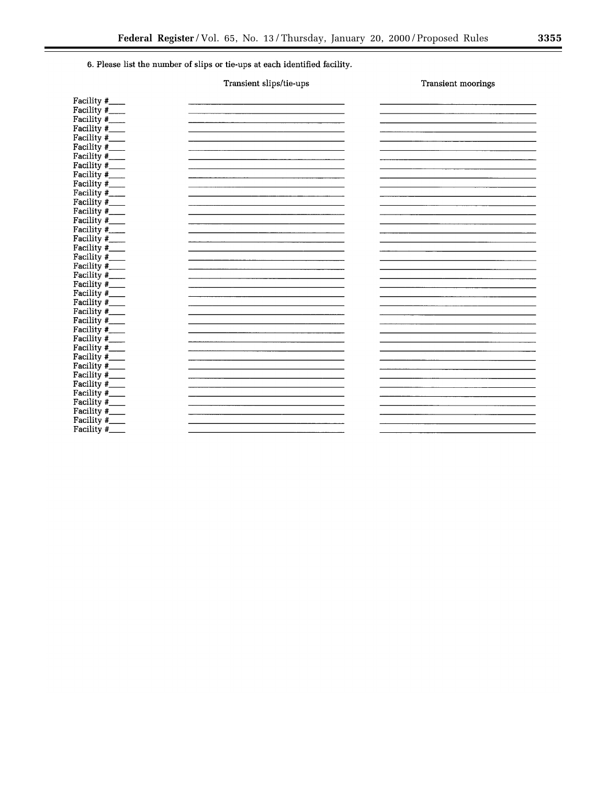6. Please list the number of slips or tie-ups at each identified facility.

|                | Transient slips/tie-ups | Transient moorings |
|----------------|-------------------------|--------------------|
| Facility #     |                         |                    |
| Facility #_    |                         |                    |
| Facility #     |                         |                    |
| Facility #     |                         |                    |
| Facility #     |                         |                    |
| Facility #     |                         |                    |
| Facility #     |                         |                    |
| Facility #_    |                         |                    |
| Facility #     |                         |                    |
| Facility #     |                         |                    |
| Facility #     |                         |                    |
| Facility #     |                         |                    |
| Facility #     |                         |                    |
| Facility #     |                         |                    |
| Facility $#$   |                         |                    |
| Facility #     |                         |                    |
| Facility #____ |                         |                    |
| Facility #     |                         |                    |
| Facility #     |                         |                    |
| Facility #_    |                         |                    |
| Facility #     |                         |                    |
| Facility #_    |                         |                    |
| Facility #     |                         |                    |
| Facility #     |                         |                    |
| Facility #     |                         |                    |
| Facility #     |                         |                    |
| Facility #_    |                         |                    |
| Facility #     |                         |                    |
| Facility #     |                         |                    |
| Facility #     |                         |                    |
| Facility #_    |                         |                    |
| Facility #     |                         |                    |
| Facility #_    |                         |                    |
| Facility #     |                         |                    |
| Facility #____ |                         |                    |
| Facility #     |                         |                    |
| Facility #     |                         |                    |
|                |                         |                    |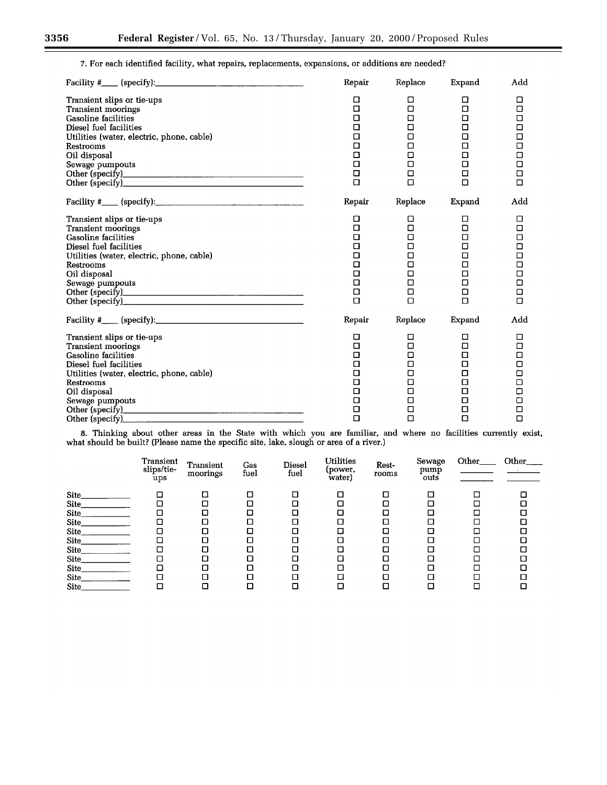# 7. For each identified facility, what repairs, replacements, expansions, or additions are needed?

|                                                                                                                                                                                                                                                     | Repair                                                        | Replace                                                            | Expand                                                                                      | Add                                                 |
|-----------------------------------------------------------------------------------------------------------------------------------------------------------------------------------------------------------------------------------------------------|---------------------------------------------------------------|--------------------------------------------------------------------|---------------------------------------------------------------------------------------------|-----------------------------------------------------|
| Transient slips or tie-ups<br><b>Transient moorings</b><br>Gasoline facilities<br>Diesel fuel facilities<br>Utilities (water, electric, phone, cable)<br>Restrooms<br>Oil disposal<br>Sewage pumpouts<br>Other (specify)<br>Other (specify)         | ⊡<br>□<br>□<br>О<br>□<br>◻<br>□<br>□<br>□<br>$\Box$           | ο<br>$\Box$<br>0<br>□<br>$\Box$<br>◘<br>□<br>О<br>$\Box$<br>$\Box$ | □<br>$\Box$<br>$\Box$<br>$\Box$<br>$\Box$<br>$\Box$<br>$\Box$<br>$\Box$<br>$\Box$<br>$\Box$ | ◻<br>□<br>□<br>◻<br>□<br>□<br>□<br>О<br>□<br>□      |
|                                                                                                                                                                                                                                                     | Repair                                                        | Replace                                                            | Expand                                                                                      | Add                                                 |
| Transient slips or tie-ups<br><b>Transient moorings</b><br>Gasoline facilities<br>Diesel fuel facilities<br>Utilities (water, electric, phone, cable)<br>Restrooms<br>Oil disposal<br>Sewage pumpouts                                               | ◻<br>$\Box$<br>□<br>□<br>О<br>口<br>$\Box$<br>⊡<br>□<br>$\Box$ | □<br>$\Box$<br>□<br>О<br>О<br>Ω<br>$\Box$<br>□<br>Ο<br>$\Box$      | □<br>$\Box$<br>$\Box$<br>$\Box$<br>$\Box$<br>$\Box$<br>$\Box$<br>$\Box$<br>$\Box$<br>$\Box$ | □<br>□<br>□<br>о<br>□<br>$\Box$<br>□<br>о<br>□<br>□ |
|                                                                                                                                                                                                                                                     | Repair                                                        | Replace                                                            | Expand                                                                                      | Add                                                 |
| Transient slips or tie-ups<br><b>Transient moorings</b><br><b>Gasoline facilities</b><br>Diesel fuel facilities<br>Utilities (water, electric, phone, cable)<br>Restrooms<br>Oil disposal<br>Sewage pumpouts<br>Other (specify)_<br>Other (specify) | □<br>□<br>◻<br>П<br>□<br>□<br>П<br>□<br>□<br>$\Box$           | □<br>□<br>□<br>□<br>О<br>$\Box$<br>□<br>□<br>$\Box$<br>$\Box$      | □<br>$\Box$<br>$\Box$<br>$\Box$<br>$\Box$<br>$\Box$<br>$\Box$<br>$\Box$<br>$\Box$<br>$\Box$ | ◻<br>◻<br>□<br>о<br>О<br>□<br>о<br>◻<br>О<br>$\Box$ |

8. Thinking about other areas in the State with which you are familiar, and where no facilities currently exist, what should be built? (Please name the specific site, lake, slough or area of a river.)

|      | Transient<br>slips/tie-<br>ups | <b>Transient</b><br>moorings | Gas<br>fuel | Diesel<br>fuel | <b>Utilities</b><br>(power,<br>water) | Rest-<br>rooms | Sewage<br>pump<br>outs | Other | Other |
|------|--------------------------------|------------------------------|-------------|----------------|---------------------------------------|----------------|------------------------|-------|-------|
| Site |                                |                              | П           |                |                                       |                |                        |       |       |
| Site |                                |                              |             |                |                                       |                |                        |       |       |
| Site |                                |                              |             |                |                                       |                |                        |       |       |
| Site |                                |                              | г           |                |                                       |                |                        |       |       |
| Site |                                |                              |             |                |                                       |                |                        |       |       |
| Site |                                |                              | П           |                |                                       | П              |                        |       |       |
| Site |                                |                              | г           |                |                                       |                |                        |       |       |
| Site |                                |                              |             |                |                                       | г              |                        |       |       |
| Site |                                |                              | г           |                |                                       | г              |                        |       |       |
| Site |                                |                              |             |                |                                       |                |                        |       |       |
| Site |                                |                              |             |                |                                       |                |                        |       |       |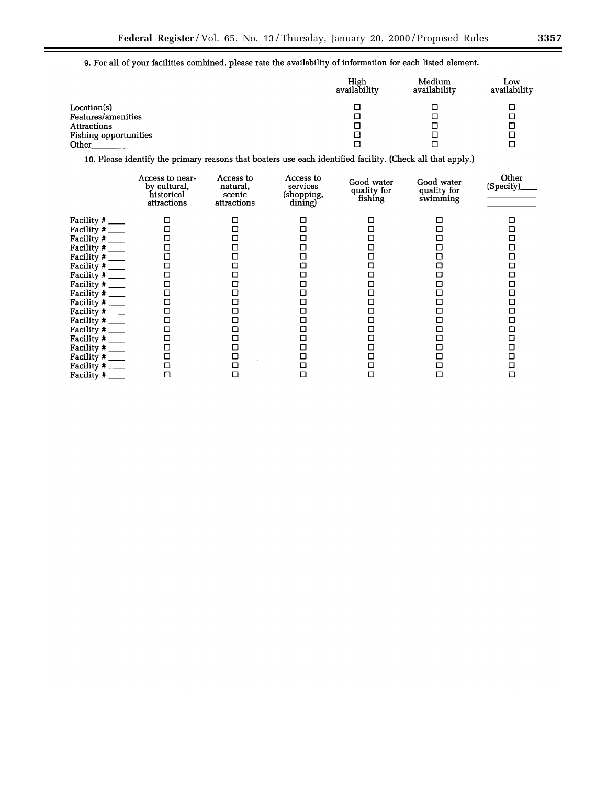# 9. For all of your facilities combined, please rate the availability of information for each listed element.

|                       | High<br>availability | Medium<br>availability | Low<br>availability |
|-----------------------|----------------------|------------------------|---------------------|
| Location(s)           |                      |                        |                     |
| Features/amenities    |                      |                        |                     |
| Attractions           |                      |                        |                     |
| Fishing opportunities |                      |                        |                     |
| Other                 |                      |                        |                     |

10. Please identify the primary reasons that boaters use each identified facility. (Check all that apply.)

|                                                                                                                                                                                                                                                                                                                                                                                                                                                                                                                                                                                                                                                                                                                                                                                                                                                                                                                                                                                                                                                                                                 | Access to near-<br>by cultural,<br>historical<br>attractions | Access to<br>natural.<br>scenic<br>attractions                          | Access to<br>services<br>(shopping,<br>dining) | Good water<br>quality for<br>fishing | Good water<br>quality for<br>swimming | Other<br>(Specify)                                                           |
|-------------------------------------------------------------------------------------------------------------------------------------------------------------------------------------------------------------------------------------------------------------------------------------------------------------------------------------------------------------------------------------------------------------------------------------------------------------------------------------------------------------------------------------------------------------------------------------------------------------------------------------------------------------------------------------------------------------------------------------------------------------------------------------------------------------------------------------------------------------------------------------------------------------------------------------------------------------------------------------------------------------------------------------------------------------------------------------------------|--------------------------------------------------------------|-------------------------------------------------------------------------|------------------------------------------------|--------------------------------------|---------------------------------------|------------------------------------------------------------------------------|
| Facility $\frac{\text{Facility}}{\text{Facility}}$<br>Facility $\stackrel{}{\overbrace{\qquad \qquad }}$<br>Facility $\stackrel{}{\overbrace{\qquad \qquad }}$<br>Facility $\#$ $\frac{1}{\sqrt{1-\frac{1}{2}}\sqrt{1-\frac{1}{2}}\sqrt{1-\frac{1}{2}}\sqrt{1-\frac{1}{2}}\sqrt{1-\frac{1}{2}}\sqrt{1-\frac{1}{2}}\sqrt{1-\frac{1}{2}}\sqrt{1-\frac{1}{2}}\sqrt{1-\frac{1}{2}}\sqrt{1-\frac{1}{2}}\sqrt{1-\frac{1}{2}}\sqrt{1-\frac{1}{2}}\sqrt{1-\frac{1}{2}}\sqrt{1-\frac{1}{2}}\sqrt{1-\frac{1}{2}}\sqrt{1-\frac{1}{2}}\sqrt{1-\frac{1}{2}}\sqrt{1-\frac{1}{2}}\sqrt{$<br>Facility $\frac{1}{\sqrt{2}}$<br>Facility $\stackrel{\text{#}}{=}$<br>Facility $\stackrel{\text{#}}{=}$<br>Facility $\#$ $\frac{1}{\sqrt{1-\frac{1}{2}}\sqrt{1-\frac{1}{2}}\sqrt{1-\frac{1}{2}}\sqrt{1-\frac{1}{2}}\sqrt{1-\frac{1}{2}}\sqrt{1-\frac{1}{2}}\sqrt{1-\frac{1}{2}}\sqrt{1-\frac{1}{2}}\sqrt{1-\frac{1}{2}}\sqrt{1-\frac{1}{2}}\sqrt{1-\frac{1}{2}}\sqrt{1-\frac{1}{2}}\sqrt{1-\frac{1}{2}}\sqrt{1-\frac{1}{2}}\sqrt{1-\frac{1}{2}}\sqrt{1-\frac{1}{2}}\sqrt{1-\frac{1}{2}}\sqrt{1-\frac{1}{2}}\sqrt{$ | Ο<br>$\Box$<br>О<br>$\Box$<br>Ω<br>□<br>□<br>Ω<br>□<br>□     | ◻<br>□<br>□<br>□<br>□<br>□<br>□<br>□<br>□<br>◻<br>□<br>□<br>□<br>□<br>п |                                                | П<br>П<br>П<br>□<br>П<br>П<br>П      |                                       | □<br>□<br>□<br>□<br>□<br>□<br>□<br>□<br>□<br>□<br>□<br>о<br>□<br>□<br>□<br>□ |

▀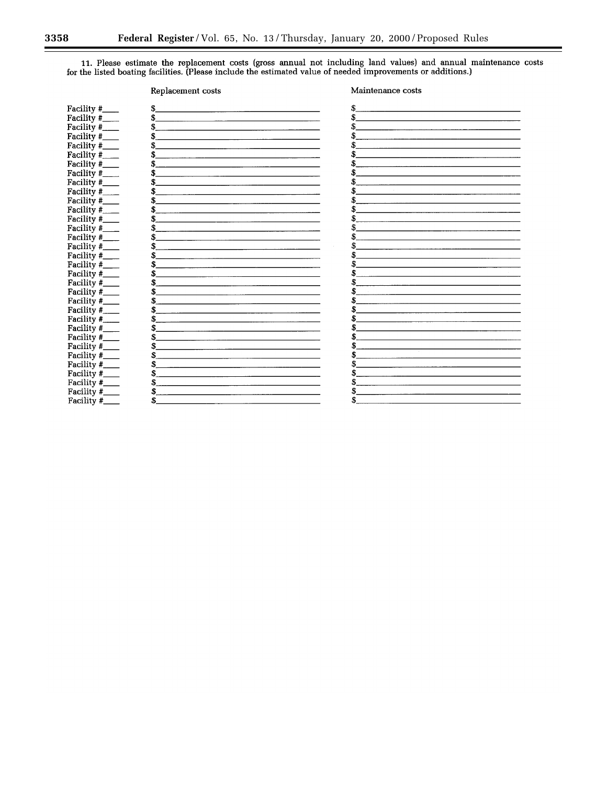11. Please estimate the replacement costs (gross annual not including land values) and annual maintenance costs<br>for the listed boating facilities. (Please include the estimated value of needed improvements or additions.)

## Replacement costs

# Maintenance costs

| Facility #  | \$. | \$ |
|-------------|-----|----|
| Facility #_ | \$  | \$ |
| Facility #_ | S   | S  |
| Facility #  | S   | \$ |
| Facility #_ | S   | £. |
| Facility #_ | S   |    |
| Facility #  | \$  | \$ |
| Facility #_ | S   | \$ |
| Facility #  | S   | £  |
| Facility #  | S   | \$ |
| Facility #  | S   | \$ |
| Facility #  | S   |    |
| Facility #_ | S   |    |
| Facility #  | \$  |    |
| Facility #_ | \$  |    |
| Facility #  | \$  | \$ |
| Facility #  | \$  | \$ |
| Facility #  | \$  | S  |
| Facility #_ | \$  | S  |
| Facility #  | \$  | S  |
| Facility #_ | \$  | S  |
| Facility #_ | \$  | S  |
| Facility #_ | \$  |    |
| Facility #  | \$  | S  |
| Facility #  | \$  | S  |
| Facility #  | \$  | S  |
| Facility #  | S   | S  |
| Facility #_ | \$  | S  |
| Facility #  | \$  | \$ |
| Facility #  | \$  | S  |
| Facility #  | S   |    |
| Facility #  | \$  | S  |
| Facility #  | \$  | \$ |
|             |     |    |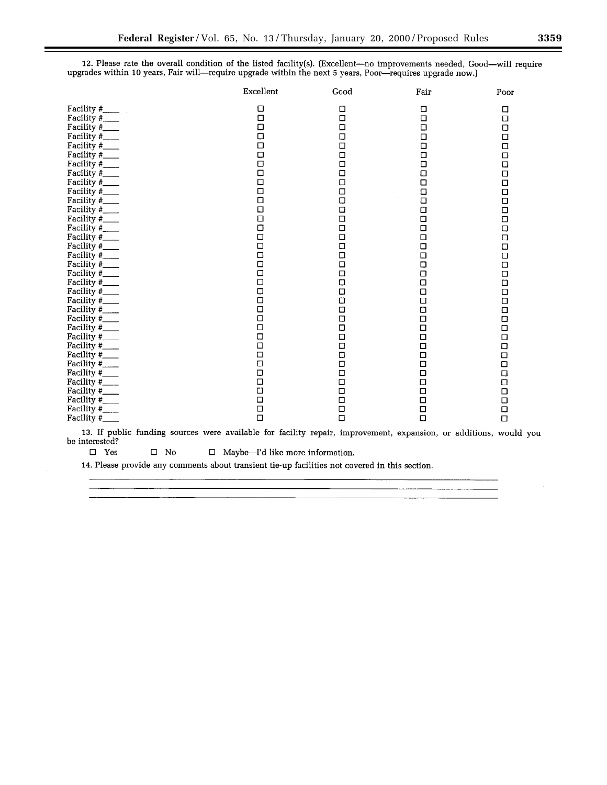|                                                                                                                                                                                                                                                                                                                                                                                                                                                                                                                                                                |                                                                                                                                                                                                                                                                                                                                | Good                                                                                                                                                                                                                                                                   | Fair                                                                                                                                                                                                                                                        | Poor                                                                                                                                                                                                                                                        |
|----------------------------------------------------------------------------------------------------------------------------------------------------------------------------------------------------------------------------------------------------------------------------------------------------------------------------------------------------------------------------------------------------------------------------------------------------------------------------------------------------------------------------------------------------------------|--------------------------------------------------------------------------------------------------------------------------------------------------------------------------------------------------------------------------------------------------------------------------------------------------------------------------------|------------------------------------------------------------------------------------------------------------------------------------------------------------------------------------------------------------------------------------------------------------------------|-------------------------------------------------------------------------------------------------------------------------------------------------------------------------------------------------------------------------------------------------------------|-------------------------------------------------------------------------------------------------------------------------------------------------------------------------------------------------------------------------------------------------------------|
| Facility #_<br>Facility #_______<br>Facility #<br>Facility #_<br>Facility #<br>Facility #_______<br>Facility #<br>Facility #<br>Facility $\frac{4}{2}$<br>Facility $\frac{4}{2}$<br>Facility #_____<br>Facility #<br>Facility #____<br>Facility #_____<br>Facility $\frac{4}{2}$<br>Facility #______<br>Facility $\frac{1}{2}$<br>Facility #____<br>Facility #<br>Facility #____<br>Facility $\overline{\mathbf{f}$ =<br>Facility #______<br>Facility #<br>Facility $\overline{\mathbf{H}_{\text{max}}}$<br>Facility $\frac{4}{2}$<br>Facility #<br>Facility # | Excellent<br>О<br>О<br>$\Box$<br>$\Box$<br>$\Box$<br>$\Box$<br>$\Box$<br>$\Box$<br>$\Box$<br>$\Box$<br>$\overline{\square}$<br>$\Box$<br>$\overline{\square}$<br>$\Box$<br>$\Box$<br>$\overline{\square}$<br>$\overline{\square}$<br>$\Box$<br>$\Box$<br>$\Box$<br>$\Box$<br>$\Box$<br>$\Box$<br>$\Box$<br>$\overline{a}$<br>ö | □<br>$\Box$<br>$\Box$<br>$\frac{1}{1}$<br>$\Box$<br>$\Box$<br>$\Box$<br>$\Box$<br>ō<br>$\Box$<br>$\Box$<br>$\Box$<br>$\Box$<br>$\Box$<br>$\frac{\square}{\square}$<br>$\Box$<br>$\Box$<br>$\Box$<br>$\Box$<br>$\Box$<br>$\Box$<br>$\Box$<br>$\Box$<br>$\Box$<br>$\Box$ | $\Box$<br>$\Box$<br>$\Box$<br>$\Box$<br>◻<br>◻<br>$\Box$<br>□<br>$\Box$<br>$\Box$<br>$\Box$<br>$\Box$<br>$\Box$<br>$\Box$<br>$\Box$<br>$\Box$<br>$\Box$<br>$\Box$<br>$\Box$<br>$\Box$<br>$\Box$<br>$\Box$<br>$\Box$<br>$\Box$<br>$\Box$<br>$\Box$<br>$\Box$ | □<br>$\Box$<br>$\Box$<br>$\Box$<br>$\Box$<br>$\Box$<br>$\Box$<br>$\Box$<br>$\Box$<br>$\Box$<br>$\Box$<br>$\Box$<br>$\Box$<br>$\Box$<br>□<br>$\Box$<br>$\Box$<br>$\Box$<br>$\Box$<br>$\Box$<br>$\Box$<br>$\Box$<br>$\Box$<br>$\Box$<br>$\Box$<br>$\Box$<br>Ω |
| Facility #_______<br>Facility #<br>Facility #_____<br>Facility $\frac{4}{2}$<br>Facility #<br>Facility $\frac{4}{2}$<br>Facility #                                                                                                                                                                                                                                                                                                                                                                                                                             | $\Box$<br>$\Box$<br>$\Box$<br>$\Box$<br>$\Box$<br>$\Box$<br>$\Box$                                                                                                                                                                                                                                                             | $\Box$<br>$\Box$<br>$\Box$<br>$\Box$<br>$\Box$<br>$\Box$<br>$\Box$                                                                                                                                                                                                     | $\Box$<br>$\Box$<br>$\Box$<br>$\Box$<br>$\Box$<br>$\Box$<br>$\Box$                                                                                                                                                                                          | $\Box$<br>$\Box$<br>О<br>$\Box$<br>$\Box$<br>$\Box$<br>О                                                                                                                                                                                                    |
| Facility #                                                                                                                                                                                                                                                                                                                                                                                                                                                                                                                                                     | $\Box$                                                                                                                                                                                                                                                                                                                         | $\Box$                                                                                                                                                                                                                                                                 | $\Box$                                                                                                                                                                                                                                                      | $\Box$                                                                                                                                                                                                                                                      |

12. Please rate the overall condition of the listed facility(s). (Excellent—no improvements needed, Good—will require upgrades within 10 years, Fair will—require upgrade within the next 5 years, Poor—requires upgrade now.)

13. If public funding sources were available for facility repair, improvement, expansion, or additions, would you be interested?

 $\hfill \square$  <br> Yes  $\hfill \Box$  No  $\Box$  Maybe-I'd like more information.

14. Please provide any comments about transient tie-up facilities not covered in this section.

e.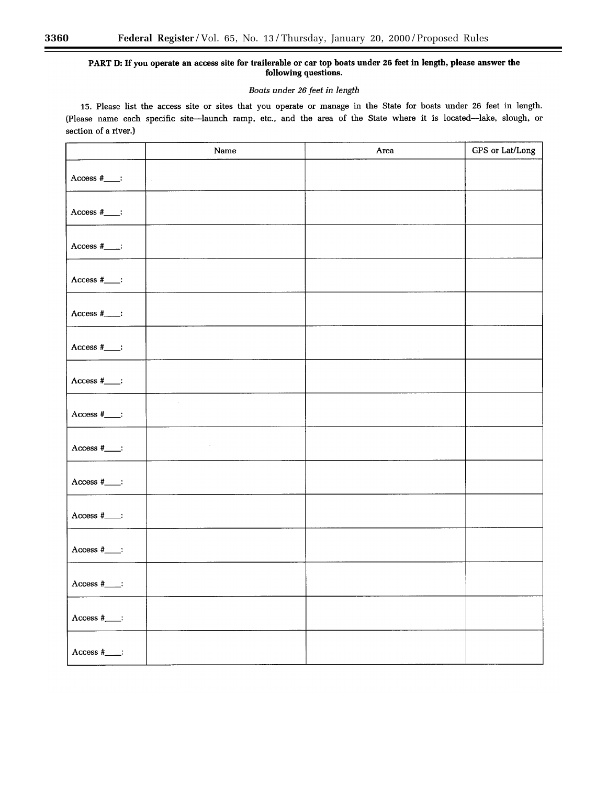# PART D: If you operate an access site for trailerable or car top boats under 26 feet in length, please answer the following questions.

# Boats under 26 feet in length

15. Please list the access site or sites that you operate or manage in the State for boats under 26 feet in length. (Please name each specific site-launch ramp, etc., and the area of the State where it is located-lake, slough, or section of a river.)

|                                            | $\rm Name$    | Area   | GPS or Lat/Long |
|--------------------------------------------|---------------|--------|-----------------|
| Access $\#$ $\qquad$ :                     |               |        |                 |
| Access $\sharp \underline{\qquad}$ :       |               |        |                 |
| Access $#$ $\qquad$ :                      |               |        |                 |
| Access $\#$ $\qquad$ :                     |               |        |                 |
| Access $\sharp \_\_\colon$                 |               |        |                 |
| Access $\sharp \_\$ :                      |               | $\sim$ |                 |
| Access $\sharp \underline{\qquad}$ :       |               |        |                 |
| Access $\sharp \underline{\hspace{1cm}}$ : | $\sim$ $\sim$ |        |                 |
| Access $\#$ :                              |               |        |                 |
| Access $\#$ :                              |               |        |                 |
| Access $\sharp \_\$                        |               |        |                 |
| Access $#$ $\qquad$ :                      |               |        |                 |
| Access $#$ :                               |               |        |                 |
| Access $\sharp \_\!\_\!\!\ldots\!$ :       |               |        |                 |
| Access $\sharp \_\_\$                      |               |        |                 |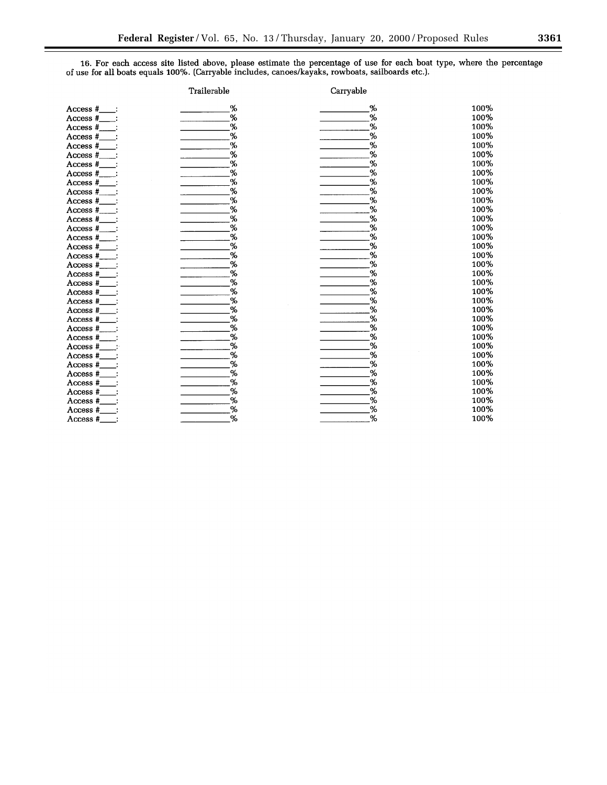$\equiv$ 

16. For each access site listed above, please estimate the percentage of use for each boat type, where the percentage of use for all boats equals 100%. (Carryable includes, canoes/kayaks, rowboats, sailboards etc.).

|          | Trailerable | Carryable |      |
|----------|-------------|-----------|------|
| Access # | %           | %         | 100% |
| Access # | %           | %         | 100% |
| Access # | %           | %         | 100% |
| Access # | %           | %         | 100% |
| Access # | %           | %         | 100% |
| Access # | %           | %         | 100% |
| Access # | %           | %         | 100% |
| Access # | $\%$        | %         | 100% |
| Access # | $\%$        | %         | 100% |
| Access # | %           | %         | 100% |
| Access # | %           | %         | 100% |
| Access # | %           | %         | 100% |
| Access # | %           | %         | 100% |
| Access # | %           | %         | 100% |
| Access # | %           | %         | 100% |
| Access # | %           | %         | 100% |
| Access # | %           | %         | 100% |
| Access # | %           | %         | 100% |
| Access # | %           | %         | 100% |
| Access # | %           | %         | 100% |
| Access # | %           | %         | 100% |
| Access # | %           | %         | 100% |
| Access # | %           | %         | 100% |
| Access # | %           | %         | 100% |
| Access # | %           | %         | 100% |
| Access # | %           | %         | 100% |
| Access # | %           | %         | 100% |
| Access # | %           | %         | 100% |
| Access # | %           | %         | 100% |
| Access # | %           | %         | 100% |
| Access # | %           | %         | 100% |
| Access # | %           | %         | 100% |
| Access # | %           | %         | 100% |
| Access # | %           | %         | 100% |
| Access # | %           | %         | 100% |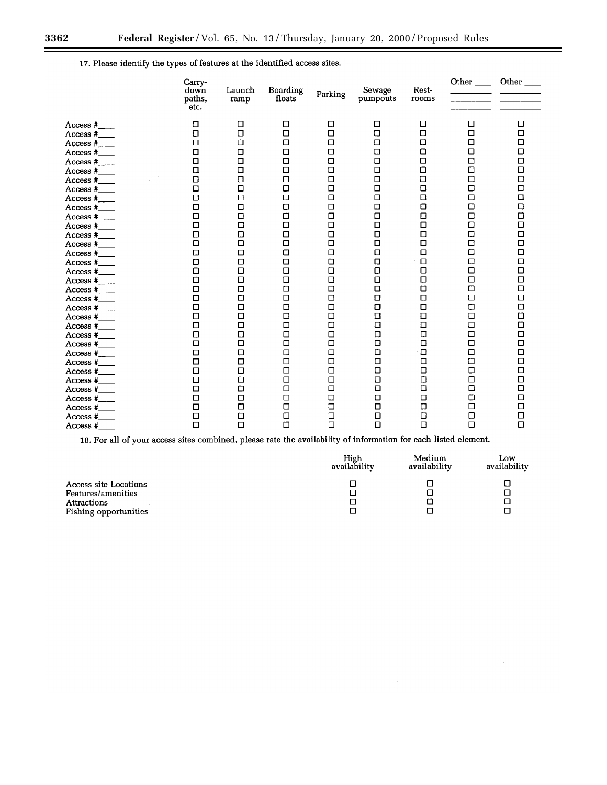# 17. Please identify the types of features at the identified access sites.

|                       | Carry-<br>down<br>paths,<br>etc. | Launch<br>ramp   | <b>Boarding</b><br>floats | Parking          | Sewage<br>pumpouts | Rest-<br>rooms   | Other ______     | Other            |
|-----------------------|----------------------------------|------------------|---------------------------|------------------|--------------------|------------------|------------------|------------------|
| Access #<br>Access #  | О<br>$\Box$                      | □<br>$\Box$      | □<br>$\Box$               | α<br>$\Box$      | □<br>$\Box$        | О<br>$\Box$      | О<br>$\Box$      | $\Box$<br>$\Box$ |
| Access #              | $\Box$                           | 口                | $\Box$                    | Ο                | $\Box$             | О                | О                | О                |
| Access #              | $\Box$                           | $\Box$           | $\Box$                    | О                | $\Box$             | $\Box$           | $\Box$           | $\Box$           |
| Access #              | $\Box$                           | $\Box$           | $\Box$                    | $\Box$           | $\Box$             | $\Box$           | $\Box$           | $\Box$           |
| Access #              | $\Box$                           | □                | О                         | о                | $\Box$             | $\Box$           | $\Box$           | $\Box$           |
| Access #              | О<br>$\Box$                      | □<br>$\Box$      | □<br>$\Box$               | □<br>$\Box$      | $\Box$<br>$\Box$   | $\Box$<br>$\Box$ | $\Box$<br>$\Box$ | $\Box$<br>$\Box$ |
| Access #              | $\Box$                           | $\Box$           | $\Box$                    | □                | □                  | $\Box$           | $\Box$           | $\Box$           |
| Access #_<br>Access # | $\square$                        | □                | $\Box$                    | $\Box$           | $\Box$             | O                | $\Box$           | $\Box$           |
| Access #              | $\Box$                           | $\Box$           | О                         | $\Box$           | $\Box$             | $\Box$           | $\Box$           | $\Box$           |
| Access #              | $\Box$                           | $\Box$           | $\Box$                    | $\Box$           | $\Box$             | О                | $\Box$           | $\Box$           |
| Access #              | $\Box$                           | $\Box$           | $\Box$                    | $\Box$           | $\Box$             | $\Box$           | $\Box$           | $\Box$           |
| Access #              | О                                | $\Box$           | О                         | $\Box$           | $\Box$             | О                | $\Box$           | $\Box$           |
| Access #              | $\Box$                           | $\Box$           | о                         | $\Box$           | $\Box$             | $\Box$           | $\Box$           | $\Box$           |
| Access #              | $\Box$                           | $\Box$           | $\Box$                    | О                | $\Box$             | $\Box$           | $\Box$           | $\Box$           |
| Access #              | $\Box$                           | $\Box$           | α                         | О                | $\Box$             | $\Box$           | $\Box$           | $\Box$           |
| Access #              | $\Box$                           | $\Box$           | $\Box$                    | $\Box$           | $\Box$             | $\Box$           | $\Box$           | $\Box$           |
| Access #              | $\Box$                           | $\Box$           | $\Box$                    | $\Box$           | $\Box$             | $\Box$           | О                | $\Box$           |
| Access #              | $\Box$                           | $\Box$           | $\Box$                    | $\Box$           | $\Box$             | $\Box$           | $\Box$           | $\Box$           |
| Access #              | $\Box$                           | $\Box$           | □                         | $\Box$           | $\Box$             | $\Box$           | О                | $\Box$           |
| Access #              | $\Box$                           | $\Box$           | о                         | О                | $\Box$             | $\Box$           | $\Box$           | O                |
| Access #              | $\Box$                           | $\Box$           | ◻                         | $\Box$           | $\Box$             | $\Box$           | $\Box$           | О                |
| Access $#_$           | $\Box$                           | $\Box$           | $\Box$                    | О                | $\Box$             | $\Box$           | $\Box$           | □                |
| Access #              | $\Box$<br>$\Box$                 | $\Box$<br>$\Box$ | $\Box$<br>$\Box$          | $\Box$<br>$\Box$ | $\Box$<br>$\Box$   | $\Box$<br>$\Box$ | $\Box$<br>$\Box$ | $\Box$<br>$\Box$ |
| Access #              | $\Box$                           | $\Box$           | $\Box$                    | $\Box$           | $\Box$             | о                | $\Box$           | $\Box$           |
| Access #<br>Access #  | $\Box$                           | $\Box$           | $\Box$                    | $\Box$           | $\Box$             | $\Box$           | $\Box$           | $\Box$           |
| Access #              | $\Box$                           | О                | $\Box$                    | $\Box$           | $\Box$             | $\Box$           | $\Box$           | $\Box$           |
| Access #              | $\Box$                           | $\square$        | $\Box$                    | $\Box$           | $\Box$             | $\Box$           | $\Box$           | $\Box$           |
| Access #              | $\Box$                           | $\Box$           | $\Box$                    | $\Box$           | $\Box$             | $\Box$           | $\Box$           | $\Box$           |
| Access #              | $\Box$                           | $\Box$           | $\Box$                    | $\Box$           | $\Box$             | $\Box$           | $\Box$           | $\Box$           |
| Access #              | $\Box$                           | $\Box$           | $\Box$                    | $\square$        | $\Box$             | $\Box$           | $\Box$           | $\Box$           |
| Access #              | $\Box$                           | $\Box$           | $\Box$                    | $\Box$           | $\Box$             | $\Box$           | $\Box$           | $\Box$           |
|                       |                                  |                  |                           |                  |                    |                  |                  |                  |

18. For all of your access sites combined, please rate the availability of information for each listed element.

|                                             | High<br>availability | Medium<br>availability | Low<br>availability |
|---------------------------------------------|----------------------|------------------------|---------------------|
| Access site Locations<br>Features/amenities |                      |                        |                     |
| Attractions<br>Fishing opportunities        |                      |                        |                     |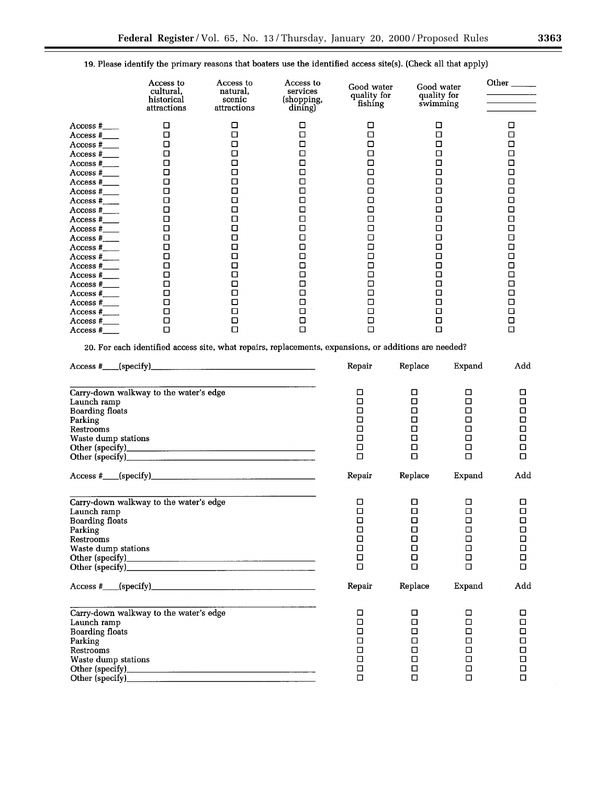19. Please identify the primary reasons that boaters use the identified access site(s). (Check all that apply)

|                                                                                                                                                          | Access to<br>cultural,<br>historical<br>attractions           | Access to<br>natural,<br>scenic<br>attractions | Access to<br>services<br>(shopping,<br>dining) | Good water<br>quality for<br>fishing                          | Good water<br>quality for<br>swimming | Other                                          |
|----------------------------------------------------------------------------------------------------------------------------------------------------------|---------------------------------------------------------------|------------------------------------------------|------------------------------------------------|---------------------------------------------------------------|---------------------------------------|------------------------------------------------|
| Access #<br>Access #<br>Access #<br>Access #<br>Access #<br>Access #<br>Access #<br>Access #<br>Access #<br>Access #<br>Access #<br>Access #<br>Access # | П<br>⊓<br>П<br>П<br>□<br>$\Box$<br>П<br>П<br>□<br>□<br>П<br>□ | П<br>Π<br>П<br>П<br>П<br>Π<br>п<br>П           |                                                | П<br>п<br>П<br>П<br>◻<br>⊡<br>□<br>□<br>П<br>П<br>◻<br>⊓<br>□ |                                       | ◻<br>□<br>□<br>□<br>П<br>◻<br>п<br>П<br>□      |
| Access #<br>Access #<br>Access #<br>Access #<br>Access #<br>Access #<br>Access #<br>Access #<br>Access #<br>Access #                                     | □<br>◻<br>◻<br>◻<br>Ω<br>◻<br>Ω<br>◻<br>□<br>Ω                | П<br>п<br>□<br>п<br>П<br>◻<br>п<br>П<br>□<br>п |                                                | □<br>□<br>□<br>□<br>□<br>□<br>◻<br>□<br>□<br>□                | ┚<br>□                                | П<br>□<br>□<br>□<br>П<br>□<br>П<br>□<br>П<br>О |

20. For each identified access site, what repairs, replacements, expansions, or additions are needed?

|                                            | Repair | Replace | Expand | Add    |  |
|--------------------------------------------|--------|---------|--------|--------|--|
| Carry-down walkway to the water's edge     | □      | □       | ◻      | □      |  |
| Launch ramp                                | ◻      | □       | □      | □      |  |
| Boarding floats                            | ◻      | $\Box$  | О      | $\Box$ |  |
| Parking                                    | ◻      | $\Box$  | о      | $\Box$ |  |
| Restrooms                                  | □      | $\Box$  | О      | $\Box$ |  |
| Waste dump stations                        | □      | $\Box$  | О      | $\Box$ |  |
|                                            | □      | $\Box$  | О      | $\Box$ |  |
| Other (specify)<br><u>Other (specify</u> ) | $\Box$ | $\Box$  | Ω      | $\Box$ |  |
|                                            | Repair | Replace | Expand | Add    |  |
| Carry-down walkway to the water's edge     | □      | $\Box$  | □      | □      |  |
| Launch ramp                                | О      | $\Box$  | □      | $\Box$ |  |
| <b>Boarding floats</b>                     | □      | □       | □      | о      |  |
| Parking                                    | ◻      | $\Box$  | □      | $\Box$ |  |
| Restrooms                                  | □      | $\Box$  | □      | $\Box$ |  |
| Waste dump stations                        | О      | О       | о      | $\Box$ |  |
|                                            | □      | $\Box$  | □      | $\Box$ |  |
|                                            | $\Box$ | $\Box$  | $\Box$ | $\Box$ |  |
|                                            | Repair | Replace | Expand | Add    |  |
| Carry-down walkway to the water's edge     | ◻      | □       | ◻      | □      |  |
| Launch ramp                                | ◻      | О       | о      | ο      |  |
| <b>Boarding floats</b>                     | ◻      | $\Box$  | ◻      | $\Box$ |  |
| Parking                                    | □      | $\Box$  | О      | $\Box$ |  |
| Restrooms                                  | □      | $\Box$  | □      | □      |  |
| Waste dump stations                        | П      | $\Box$  | □      | $\Box$ |  |
|                                            | □      | $\Box$  | □      | $\Box$ |  |
|                                            | □      | $\Box$  | □      | $\Box$ |  |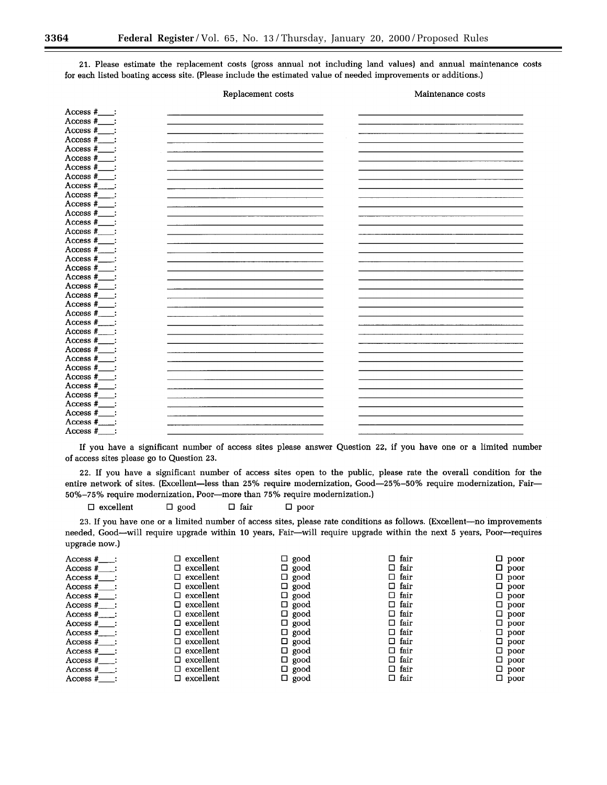21. Please estimate the replacement costs (gross annual not including land values) and annual maintenance costs for each listed boating access site. (Please include the estimated value of needed improvements or additions.)

|                      | Replacement costs | Maintenance costs |
|----------------------|-------------------|-------------------|
| Access $#$           |                   |                   |
| Access #             |                   |                   |
| Access #             |                   |                   |
| Access #             |                   |                   |
| Access #             |                   |                   |
| Access #             |                   |                   |
| Access #             |                   |                   |
| Access #             |                   |                   |
| Access #             |                   |                   |
| Access #             |                   |                   |
| Access #             |                   |                   |
| Access #             |                   |                   |
| Access #             |                   |                   |
| Access #             |                   |                   |
| Access #             |                   |                   |
| Access #             |                   |                   |
| Access #             |                   |                   |
| Access #             |                   |                   |
| Access #             |                   |                   |
| Access #             |                   |                   |
| Access #             |                   |                   |
| Access #             |                   |                   |
| Access #             |                   |                   |
| Access #             |                   |                   |
| Access #             |                   |                   |
|                      |                   |                   |
| Access #<br>Access # |                   |                   |
| Access #             |                   |                   |
|                      |                   |                   |
| Access #             |                   |                   |
| Access #             |                   |                   |
| Access #             |                   |                   |
| Access #             |                   |                   |
| Access #             |                   |                   |
| Access #             |                   |                   |
| Access #             |                   |                   |
| Access #             |                   |                   |

If you have a significant number of access sites please answer Question 22, if you have one or a limited number of access sites please go to Question 23.

22. If you have a significant number of access sites open to the public, please rate the overall condition for the entire network of sites. (Excellent-less than 25% require modernization, Good-25%-50% require modernization, Fair-50%-75% require modernization, Poor-more than 75% require modernization.)

 $\Box$  fair  $\Box$ excellent  $\Box$  good  $\square$  poor

23. If you have one or a limited number of access sites, please rate conditions as follows. (Excellent-no improvements needed, Good-will require upgrade within 10 years, Fair-will require upgrade within the next 5 years, Poor-requires upgrade now.)

| Access # :   | $\Box$ excellent    | $\Box$ good | $\Box$ fair    | $\Box$ poor    |
|--------------|---------------------|-------------|----------------|----------------|
| Access #     | $\Box$ excellent    | good<br>o   | $\square$ fair | $\square$ poor |
| $Access +$ : | $\Box$ excellent    | good<br>0   | $\Box$ fair    | $\square$ poor |
| $Access #$ : | $\Box$ excellent    | $\Box$ good | $\square$ fair | $\Box$ poor    |
|              | $\Box$ excellent    | 0           | $\Box$ fair    |                |
| Access $#$   |                     | good        |                | $\Box$ poor    |
| $Access +$ : | $\Box$ excellent    | $\Box$ good | $\Box$ fair    | $\Box$ poor    |
| $Access +$ : | $\Box$ excellent    | $\Box$ good | $\Box$ fair    | $\Box$ poor    |
| Access $#$   | $\Box$ excellent    | 0<br>good   | $\Box$ fair    | $\Box$ poor    |
| Access # :   | $\Box$ excellent    | $\Box$ good | $\Box$ fair    | $\Box$ poor    |
| Access $#$ : | $\Box$ excellent    | $\Box$ good | $\Box$ fair    | $\Box$ poor    |
| Access $#$   | $\Box$ excellent    | $\Box$ good | $\Box$ fair    | $\Box$ poor    |
| Access # :   | $\square$ excellent | $\Box$ good | $\Box$ fair    | $\Box$ poor    |
| Access #     | $\Box$ excellent    | $\Box$ good | $\Box$ fair    | $\Box$ poor    |
| Access $#$   | $\square$ excellent | good<br>u   | $\Box$ fair    | $\Box$ poor    |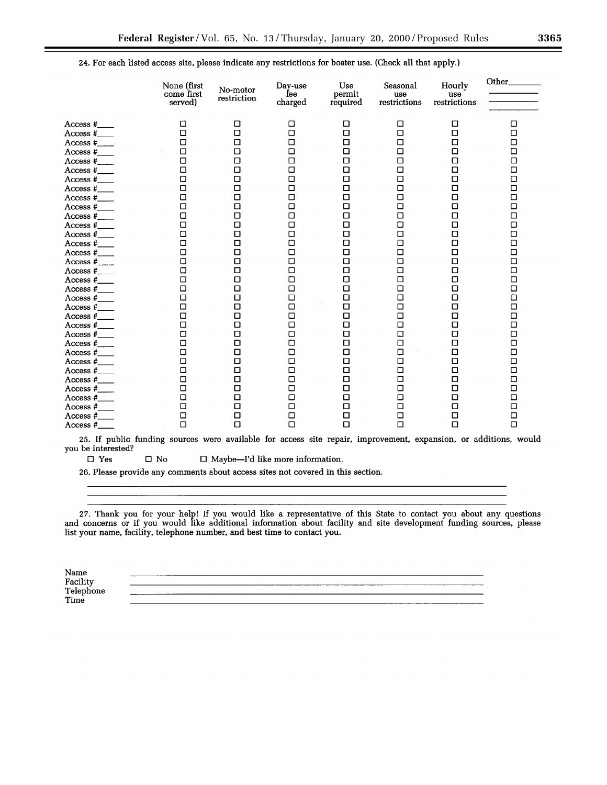|                                                                                                                                                                                                                                                                                                                                                                                                                     | None (first<br>come first<br>served)                                                                                                                                                                                                                                            | No-motor<br>restriction                                                                                                                                                                                                                                                                                                      | Day-use<br>fee<br>charged                                                                                                                                                                                                                                                                                                              | Use<br>permit<br>required                                                                                                                                                                                                                                                                                                              | Seasonal<br>use<br>restrictions                                                                                                                                                                                                                                                                                                   | Hourly<br>use<br>restrictions                                                                                                                                                                                                                                                                                                     | Other_                                                                                                                                                                                                                                                                                                                                      |
|---------------------------------------------------------------------------------------------------------------------------------------------------------------------------------------------------------------------------------------------------------------------------------------------------------------------------------------------------------------------------------------------------------------------|---------------------------------------------------------------------------------------------------------------------------------------------------------------------------------------------------------------------------------------------------------------------------------|------------------------------------------------------------------------------------------------------------------------------------------------------------------------------------------------------------------------------------------------------------------------------------------------------------------------------|----------------------------------------------------------------------------------------------------------------------------------------------------------------------------------------------------------------------------------------------------------------------------------------------------------------------------------------|----------------------------------------------------------------------------------------------------------------------------------------------------------------------------------------------------------------------------------------------------------------------------------------------------------------------------------------|-----------------------------------------------------------------------------------------------------------------------------------------------------------------------------------------------------------------------------------------------------------------------------------------------------------------------------------|-----------------------------------------------------------------------------------------------------------------------------------------------------------------------------------------------------------------------------------------------------------------------------------------------------------------------------------|---------------------------------------------------------------------------------------------------------------------------------------------------------------------------------------------------------------------------------------------------------------------------------------------------------------------------------------------|
| Access #<br>Access #<br>Access #<br>Access #<br>Access #<br>Access #<br>Access #<br>Access #<br>Access #<br>Access #<br>Access #<br>Access#<br>Access #<br>Access #<br>Access #<br>Access #<br>Access #<br>Access #<br>Access #<br>Access #<br>Access #<br>Access #<br>Access #<br>Access #<br>Access #<br>Access #<br>Access #<br>Access #<br>Access #<br>Access #<br>Access #<br>Access #<br>Access #<br>Access # | о<br>П<br>О<br>$\Box$<br>$\Box$<br>$\Box$<br>О<br>$\Box$<br>$\Box$<br>$\Box$<br>О<br>$\Box$<br>□<br>□<br>$\Box$<br>$\Box$<br>$\Box$<br>$\Box$<br>$\Box$<br>О<br>$\Box$<br>$\Box$<br>О<br>$\Box$<br>О<br>О<br>$\Box$<br>$\Box$<br>$\Box$<br>$\Box$<br>$\Box$<br>□<br>□<br>$\Box$ | □<br>$\Box$<br>$\Box$<br>$\Box$<br>$\Box$<br>$\Box$<br>$\Box$<br>$\Box$<br>$\Box$<br>$\Box$<br>$\Box$<br>$\Box$<br>$\Box$<br>$\Box$<br>$\Box$<br>о<br>$\Box$<br>$\Box$<br>$\Box$<br>$\Box$<br>$\Box$<br>$\Box$<br>$\Box$<br>$\Box$<br>о<br>О<br>$\Box$<br>$\Box$<br>$\Box$<br>$\Box$<br>$\Box$<br>$\Box$<br>$\Box$<br>$\Box$ | □<br>$\Box$<br>$\Box$<br>$\Box$<br>$\Box$<br>$\Box$<br>$\Box$<br>$\Box$<br>$\Box$<br>$\Box$<br>$\Box$<br>$\Box$<br>$\Box$<br>$\Box$<br>$\Box$<br>$\Box$<br>$\Box$<br>$\Box$<br>$\Box$<br>$\Box$<br>$\Box$<br>$\Box$<br>$\Box$<br>$\Box$<br>$\Box$<br>$\Box$<br>$\Box$<br>$\Box$<br>$\Box$<br>$\Box$<br>$\Box$<br>$\Box$<br>□<br>$\Box$ | □<br>$\Box$<br>$\Box$<br>$\Box$<br>$\Box$<br>$\Box$<br>$\Box$<br>$\Box$<br>$\Box$<br>$\Box$<br>$\Box$<br>$\Box$<br>$\Box$<br>$\Box$<br>$\Box$<br>$\Box$<br>$\Box$<br>$\Box$<br>$\Box$<br>$\Box$<br>$\Box$<br>$\Box$<br>$\Box$<br>$\Box$<br>$\Box$<br>$\Box$<br>$\Box$<br>$\Box$<br>$\Box$<br>$\Box$<br>$\Box$<br>О<br>$\Box$<br>$\Box$ | $\Box$<br>$\Box$<br>$\Box$<br>О<br>$\Box$<br>$\Box$<br>$\Box$<br>$\Box$<br>$\Box$<br>$\Box$<br>$\Box$<br>$\Box$<br>$\Box$<br>$\Box$<br>$\Box$<br>$\Box$<br>$\Box$<br>$\Box$<br>$\Box$<br>о<br>$\Box$<br>$\Box$<br>$\Box$<br>$\Box$<br>$\Box$<br>$\Box$<br>$\Box$<br>$\Box$<br>$\Box$<br>$\Box$<br>$\Box$<br>$\Box$<br>□<br>$\Box$ | □<br>$\Box$<br>$\Box$<br>$\Box$<br>$\Box$<br>$\Box$<br>$\Box$<br>$\Box$<br>$\Box$<br>$\Box$<br>$\Box$<br>$\Box$<br>$\Box$<br>$\Box$<br>$\Box$<br>$\Box$<br>$\Box$<br>$\Box$<br>$\Box$<br>D<br>$\Box$<br>$\Box$<br>$\Box$<br>$\Box$<br>$\Box$<br>$\Box$<br>$\Box$<br>$\Box$<br>$\Box$<br>$\Box$<br>$\Box$<br>$\Box$<br>О<br>$\Box$ | □<br>$\Box$<br>$\Box$<br>$\Box$<br>$\Box$<br>$\Box$<br>$\Box$<br>$\Box$<br>$\Box$<br>$\Box$<br>$\Box$<br>$\Box$<br>$\Box$<br>$\Box$<br>$\Box$<br>$\Box$<br>$\Box$<br>$\Box$<br>$\Box$<br>$\Box$<br>$\Box$<br>$\Box$<br>$\Box$<br>$\Box$<br>$\Box$<br>$\Box$<br>$\Box$<br>$\Box$<br>$\Box$<br>$\Box$<br>$\Box$<br>$\Box$<br>$\Box$<br>$\Box$ |
|                                                                                                                                                                                                                                                                                                                                                                                                                     |                                                                                                                                                                                                                                                                                 |                                                                                                                                                                                                                                                                                                                              |                                                                                                                                                                                                                                                                                                                                        |                                                                                                                                                                                                                                                                                                                                        |                                                                                                                                                                                                                                                                                                                                   |                                                                                                                                                                                                                                                                                                                                   |                                                                                                                                                                                                                                                                                                                                             |

25. If public funding sources were available for access site repair, improvement, expansion, or additions, would you be interested?

 $\hfill \square$  Yes  $\hfill \square$  No  $\Box$  Maybe-I'd like more information.

26. Please provide any comments about access sites not covered in this section.

27. Thank you for your help! If you would like a representative of this State to contact you about any questions and concerns or if you would like additional information about facility and site development funding sources, list your name, facility, telephone number, and best time to contact you.

| Name      |  |
|-----------|--|
| Facility  |  |
| Telephone |  |
| Time      |  |